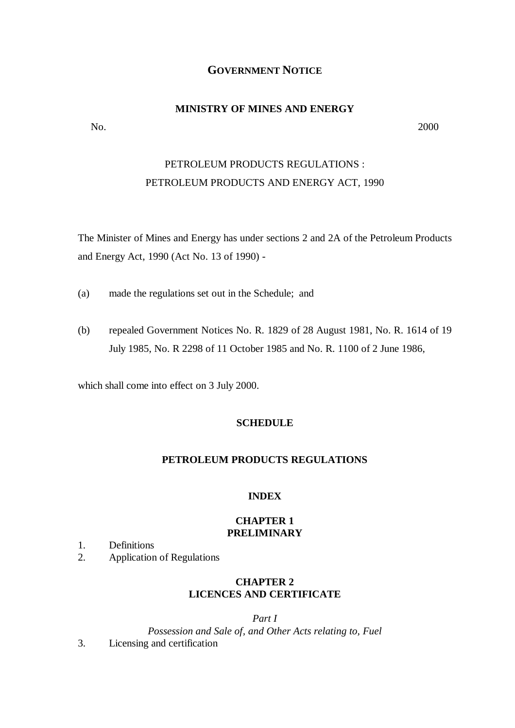# **GOVERNMENT NOTICE**

### **MINISTRY OF MINES AND ENERGY**

No. 2000

# PETROLEUM PRODUCTS REGULATIONS : PETROLEUM PRODUCTS AND ENERGY ACT, 1990

The Minister of Mines and Energy has under sections 2 and 2A of the Petroleum Products and Energy Act, 1990 (Act No. 13 of 1990) -

- (a) made the regulations set out in the Schedule; and
- (b) repealed Government Notices No. R. 1829 of 28 August 1981, No. R. 1614 of 19 July 1985, No. R 2298 of 11 October 1985 and No. R. 1100 of 2 June 1986,

which shall come into effect on 3 July 2000.

#### **SCHEDULE**

## **PETROLEUM PRODUCTS REGULATIONS**

#### **INDEX**

# **CHAPTER 1 PRELIMINARY**

- 1. Definitions
- 2. Application of Regulations

# **CHAPTER 2 LICENCES AND CERTIFICATE**

*Part I Possession and Sale of, and Other Acts relating to, Fuel* 3. Licensing and certification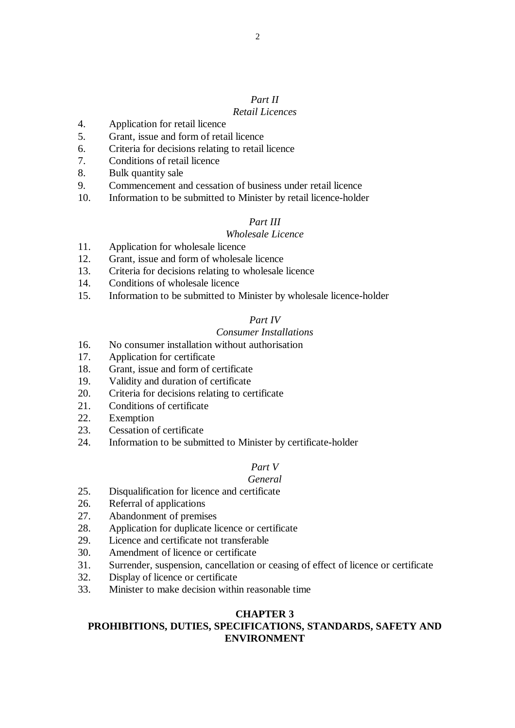# *Part II*

# *Retail Licences*

- 4. Application for retail licence
- 5. Grant, issue and form of retail licence
- 6. Criteria for decisions relating to retail licence
- 7. Conditions of retail licence
- 8. Bulk quantity sale
- 9. Commencement and cessation of business under retail licence
- 10. Information to be submitted to Minister by retail licence-holder

# *Part III*

# *Wholesale Licence*

- 11. Application for wholesale licence
- 12. Grant, issue and form of wholesale licence
- 13. Criteria for decisions relating to wholesale licence
- 14. Conditions of wholesale licence
- 15. Information to be submitted to Minister by wholesale licence-holder

# *Part IV*

# *Consumer Installations*

- 16. No consumer installation without authorisation
- 17. Application for certificate
- 18. Grant, issue and form of certificate
- 19. Validity and duration of certificate
- 20. Criteria for decisions relating to certificate
- 21. Conditions of certificate
- 22. Exemption
- 23. Cessation of certificate
- 24. Information to be submitted to Minister by certificate-holder

# *Part V*

#### *General*

- 25. Disqualification for licence and certificate
- 26. Referral of applications
- 27. Abandonment of premises
- 28. Application for duplicate licence or certificate
- 29. Licence and certificate not transferable
- 30. Amendment of licence or certificate
- 31. Surrender, suspension, cancellation or ceasing of effect of licence or certificate
- 32. Display of licence or certificate
- 33. Minister to make decision within reasonable time

# **CHAPTER 3 PROHIBITIONS, DUTIES, SPECIFICATIONS, STANDARDS, SAFETY AND ENVIRONMENT**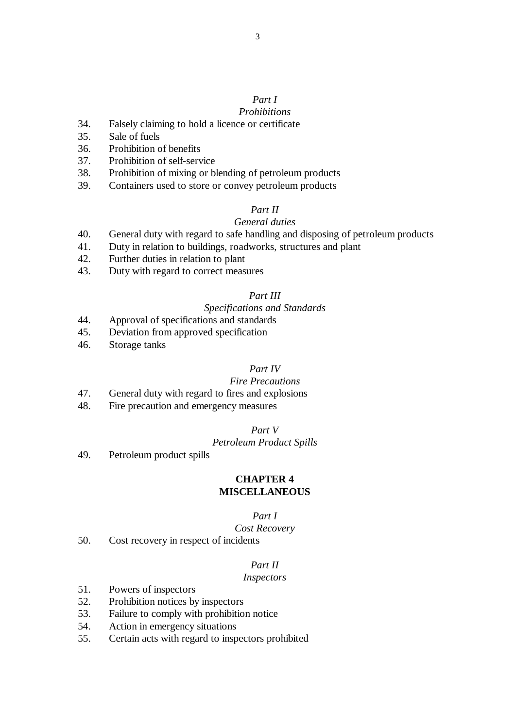# *Part I*

# *Prohibitions*

- 34. Falsely claiming to hold a licence or certificate
- 35. Sale of fuels
- 36. Prohibition of benefits
- 37. Prohibition of self-service
- 38. Prohibition of mixing or blending of petroleum products
- 39. Containers used to store or convey petroleum products

# *Part II*

# *General duties*

- 40. General duty with regard to safe handling and disposing of petroleum products
- 41. Duty in relation to buildings, roadworks, structures and plant
- 42. Further duties in relation to plant
- 43. Duty with regard to correct measures

## *Part III*

# *Specifications and Standards*

- 44. Approval of specifications and standards
- 45. Deviation from approved specification
- 46. Storage tanks

# *Part IV*

## *Fire Precautions*

- 47. General duty with regard to fires and explosions
- 48. Fire precaution and emergency measures

## *Part V*

#### *Petroleum Product Spills*

49. Petroleum product spills

# **CHAPTER 4 MISCELLANEOUS**

# *Part I*

#### *Cost Recovery*

50. Cost recovery in respect of incidents

# *Part II*

#### *Inspectors*

- 51. Powers of inspectors
- 52. Prohibition notices by inspectors
- 53. Failure to comply with prohibition notice
- 54. Action in emergency situations
- 55. Certain acts with regard to inspectors prohibited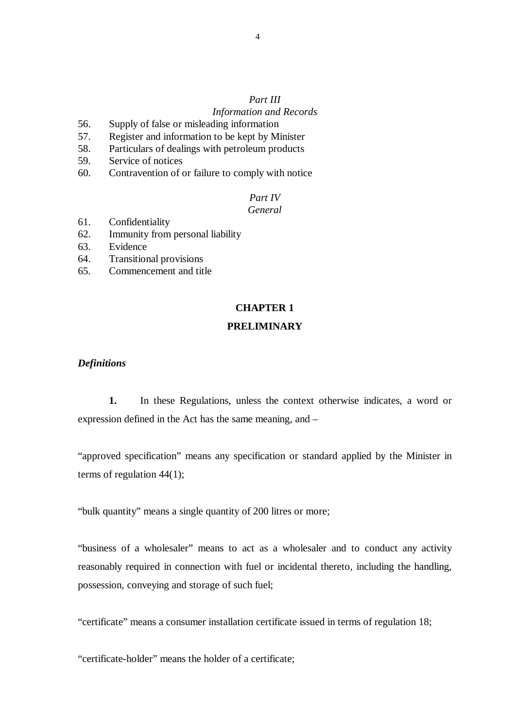# *Part III*

## *Information and Records*

- 56. Supply of false or misleading information
- 57. Register and information to be kept by Minister
- 58. Particulars of dealings with petroleum products
- 59. Service of notices
- 60. Contravention of or failure to comply with notice

# *Part IV*

# *General*

- 61. Confidentiality
- 62. Immunity from personal liability
- 63. Evidence
- 64. Transitional provisions
- 65. Commencement and title

### **CHAPTER 1**

### **PRELIMINARY**

#### *Definitions*

 **1.** In these Regulations, unless the context otherwise indicates, a word or expression defined in the Act has the same meaning, and –

"approved specification" means any specification or standard applied by the Minister in terms of regulation 44(1);

"bulk quantity" means a single quantity of 200 litres or more;

"business of a wholesaler" means to act as a wholesaler and to conduct any activity reasonably required in connection with fuel or incidental thereto, including the handling, possession, conveying and storage of such fuel;

"certificate" means a consumer installation certificate issued in terms of regulation 18;

"certificate-holder" means the holder of a certificate;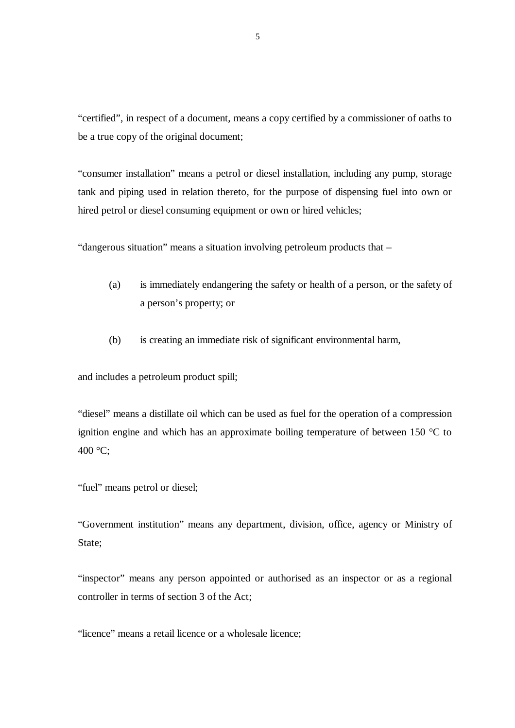"certified", in respect of a document, means a copy certified by a commissioner of oaths to be a true copy of the original document;

"consumer installation" means a petrol or diesel installation, including any pump, storage tank and piping used in relation thereto, for the purpose of dispensing fuel into own or hired petrol or diesel consuming equipment or own or hired vehicles;

"dangerous situation" means a situation involving petroleum products that –

- (a) is immediately endangering the safety or health of a person, or the safety of a person's property; or
- (b) is creating an immediate risk of significant environmental harm,

and includes a petroleum product spill;

"diesel" means a distillate oil which can be used as fuel for the operation of a compression ignition engine and which has an approximate boiling temperature of between 150 °C to  $400 \degree C$ :

"fuel" means petrol or diesel;

"Government institution" means any department, division, office, agency or Ministry of State;

"inspector" means any person appointed or authorised as an inspector or as a regional controller in terms of section 3 of the Act;

"licence" means a retail licence or a wholesale licence;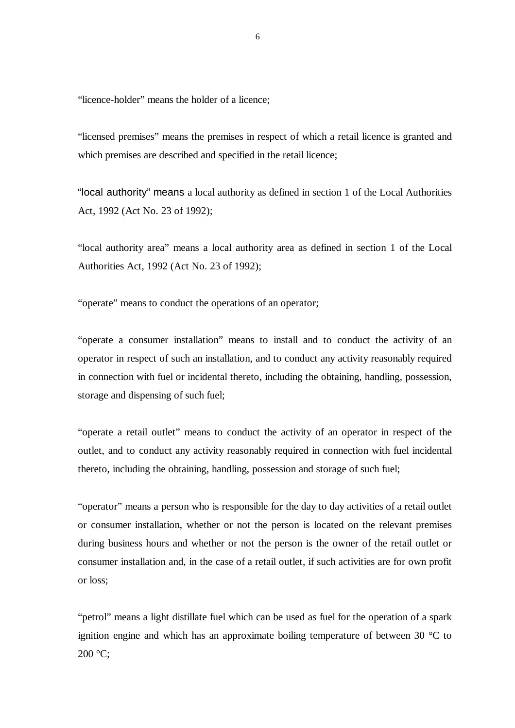"licence-holder" means the holder of a licence;

"licensed premises" means the premises in respect of which a retail licence is granted and which premises are described and specified in the retail licence;

"local authority" means a local authority as defined in section 1 of the Local Authorities Act, 1992 (Act No. 23 of 1992);

"local authority area" means a local authority area as defined in section 1 of the Local Authorities Act, 1992 (Act No. 23 of 1992);

"operate" means to conduct the operations of an operator;

"operate a consumer installation" means to install and to conduct the activity of an operator in respect of such an installation, and to conduct any activity reasonably required in connection with fuel or incidental thereto, including the obtaining, handling, possession, storage and dispensing of such fuel;

"operate a retail outlet" means to conduct the activity of an operator in respect of the outlet, and to conduct any activity reasonably required in connection with fuel incidental thereto, including the obtaining, handling, possession and storage of such fuel;

"operator" means a person who is responsible for the day to day activities of a retail outlet or consumer installation, whether or not the person is located on the relevant premises during business hours and whether or not the person is the owner of the retail outlet or consumer installation and, in the case of a retail outlet, if such activities are for own profit or loss;

"petrol" means a light distillate fuel which can be used as fuel for the operation of a spark ignition engine and which has an approximate boiling temperature of between 30 °C to 200 °C;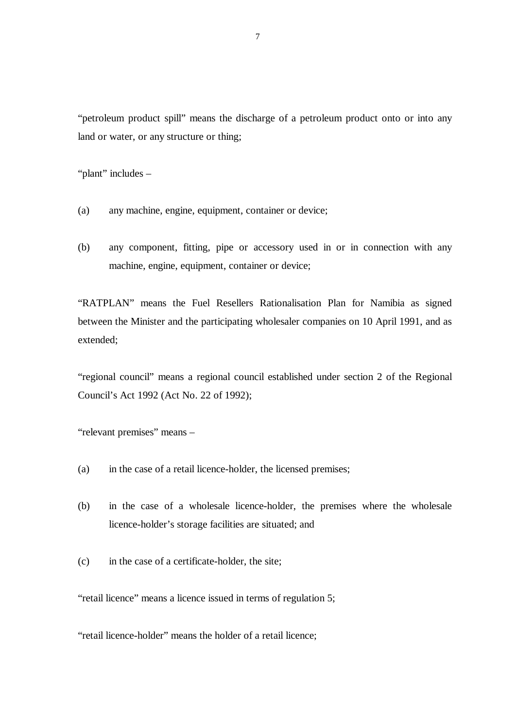"petroleum product spill" means the discharge of a petroleum product onto or into any land or water, or any structure or thing;

"plant" includes –

- (a) any machine, engine, equipment, container or device;
- (b) any component, fitting, pipe or accessory used in or in connection with any machine, engine, equipment, container or device;

"RATPLAN" means the Fuel Resellers Rationalisation Plan for Namibia as signed between the Minister and the participating wholesaler companies on 10 April 1991, and as extended;

"regional council" means a regional council established under section 2 of the Regional Council's Act 1992 (Act No. 22 of 1992);

"relevant premises" means –

- (a) in the case of a retail licence-holder, the licensed premises;
- (b) in the case of a wholesale licence-holder, the premises where the wholesale licence-holder's storage facilities are situated; and
- (c) in the case of a certificate-holder, the site;

"retail licence" means a licence issued in terms of regulation 5;

"retail licence-holder" means the holder of a retail licence;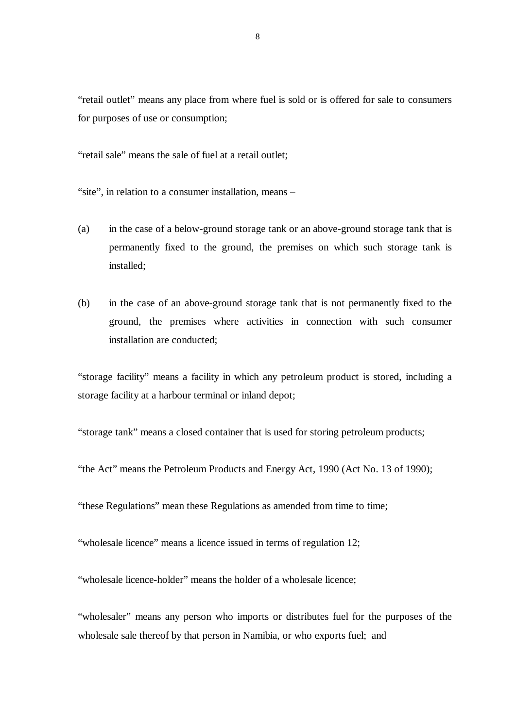"retail outlet" means any place from where fuel is sold or is offered for sale to consumers for purposes of use or consumption;

"retail sale" means the sale of fuel at a retail outlet;

"site", in relation to a consumer installation, means –

- (a) in the case of a below-ground storage tank or an above-ground storage tank that is permanently fixed to the ground, the premises on which such storage tank is installed;
- (b) in the case of an above-ground storage tank that is not permanently fixed to the ground, the premises where activities in connection with such consumer installation are conducted;

"storage facility" means a facility in which any petroleum product is stored, including a storage facility at a harbour terminal or inland depot;

"storage tank" means a closed container that is used for storing petroleum products;

"the Act" means the Petroleum Products and Energy Act, 1990 (Act No. 13 of 1990);

"these Regulations" mean these Regulations as amended from time to time;

"wholesale licence" means a licence issued in terms of regulation 12;

"wholesale licence-holder" means the holder of a wholesale licence;

"wholesaler" means any person who imports or distributes fuel for the purposes of the wholesale sale thereof by that person in Namibia, or who exports fuel; and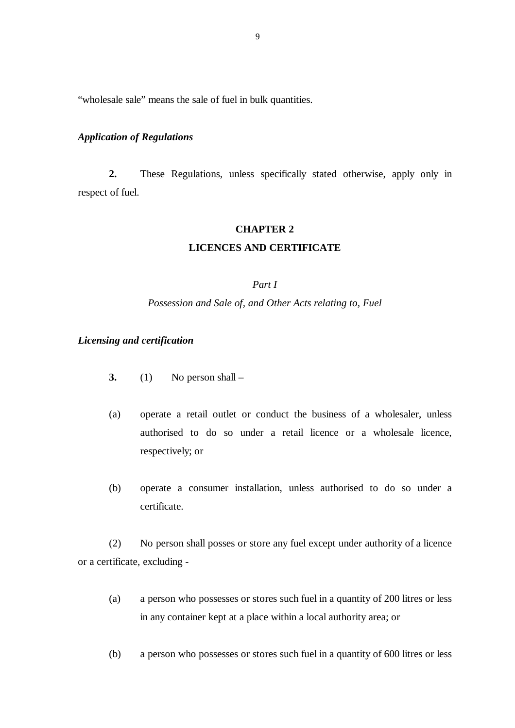"wholesale sale" means the sale of fuel in bulk quantities.

#### *Application of Regulations*

**2.** These Regulations, unless specifically stated otherwise, apply only in respect of fuel.

## **CHAPTER 2**

#### **LICENCES AND CERTIFICATE**

#### *Part I*

#### *Possession and Sale of, and Other Acts relating to, Fuel*

## *Licensing and certification*

- **3.** (1) No person shall  $-$
- (a) operate a retail outlet or conduct the business of a wholesaler, unless authorised to do so under a retail licence or a wholesale licence, respectively; or
- (b) operate a consumer installation, unless authorised to do so under a certificate.

 (2) No person shall posses or store any fuel except under authority of a licence or a certificate, excluding -

- (a) a person who possesses or stores such fuel in a quantity of 200 litres or less in any container kept at a place within a local authority area; or
- (b) a person who possesses or stores such fuel in a quantity of 600 litres or less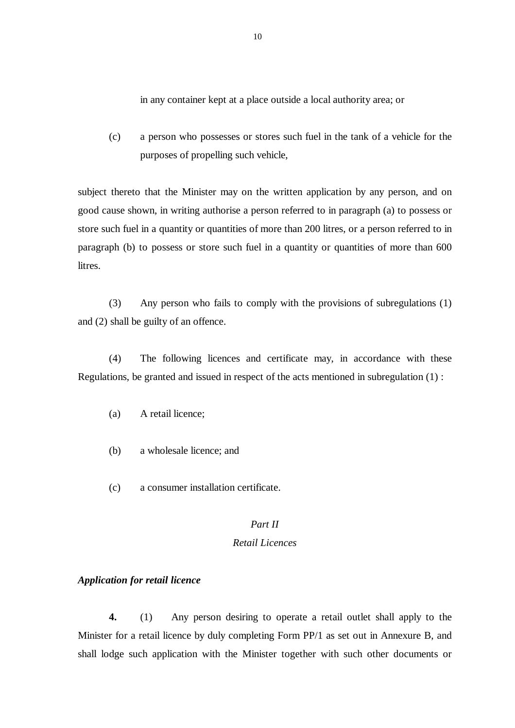in any container kept at a place outside a local authority area; or

 (c) a person who possesses or stores such fuel in the tank of a vehicle for the purposes of propelling such vehicle,

subject thereto that the Minister may on the written application by any person, and on good cause shown, in writing authorise a person referred to in paragraph (a) to possess or store such fuel in a quantity or quantities of more than 200 litres, or a person referred to in paragraph (b) to possess or store such fuel in a quantity or quantities of more than 600 **litres** 

 (3) Any person who fails to comply with the provisions of subregulations (1) and (2) shall be guilty of an offence.

(4) The following licences and certificate may, in accordance with these Regulations, be granted and issued in respect of the acts mentioned in subregulation (1) :

- (a) A retail licence;
- (b) a wholesale licence; and
- (c) a consumer installation certificate.

# *Part II*

# *Retail Licences*

#### *Application for retail licence*

**4.** (1) Any person desiring to operate a retail outlet shall apply to the Minister for a retail licence by duly completing Form PP/1 as set out in Annexure B, and shall lodge such application with the Minister together with such other documents or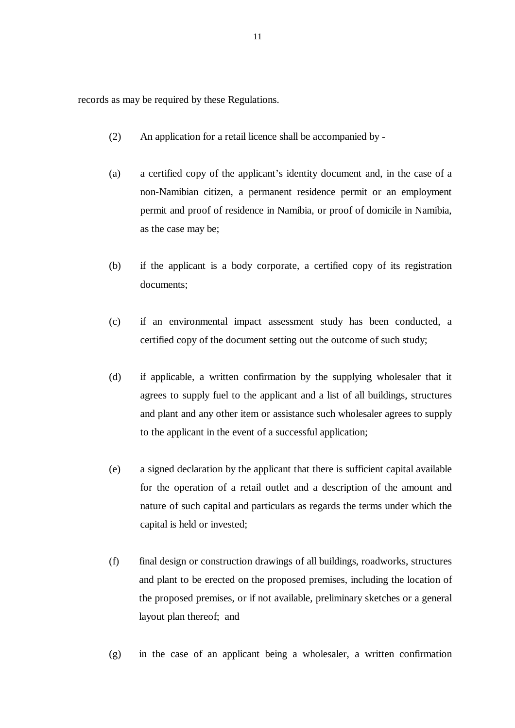records as may be required by these Regulations.

- (2) An application for a retail licence shall be accompanied by -
- (a) a certified copy of the applicant's identity document and, in the case of a non-Namibian citizen, a permanent residence permit or an employment permit and proof of residence in Namibia, or proof of domicile in Namibia, as the case may be;
- (b) if the applicant is a body corporate, a certified copy of its registration documents;
- (c) if an environmental impact assessment study has been conducted, a certified copy of the document setting out the outcome of such study;
- (d) if applicable, a written confirmation by the supplying wholesaler that it agrees to supply fuel to the applicant and a list of all buildings, structures and plant and any other item or assistance such wholesaler agrees to supply to the applicant in the event of a successful application;
- (e) a signed declaration by the applicant that there is sufficient capital available for the operation of a retail outlet and a description of the amount and nature of such capital and particulars as regards the terms under which the capital is held or invested;
- (f) final design or construction drawings of all buildings, roadworks, structures and plant to be erected on the proposed premises, including the location of the proposed premises, or if not available, preliminary sketches or a general layout plan thereof; and
- (g) in the case of an applicant being a wholesaler, a written confirmation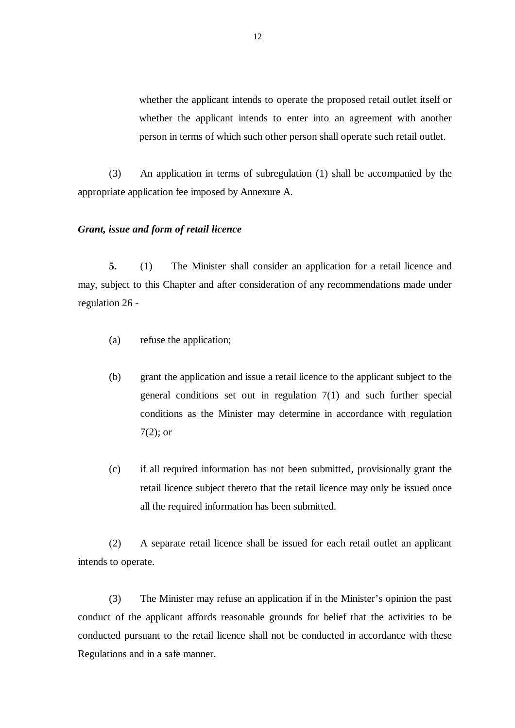whether the applicant intends to operate the proposed retail outlet itself or whether the applicant intends to enter into an agreement with another person in terms of which such other person shall operate such retail outlet.

(3) An application in terms of subregulation (1) shall be accompanied by the appropriate application fee imposed by Annexure A.

#### *Grant, issue and form of retail licence*

**5.** (1) The Minister shall consider an application for a retail licence and may, subject to this Chapter and after consideration of any recommendations made under regulation 26 -

- (a) refuse the application;
- (b) grant the application and issue a retail licence to the applicant subject to the general conditions set out in regulation 7(1) and such further special conditions as the Minister may determine in accordance with regulation 7(2); or
- (c) if all required information has not been submitted, provisionally grant the retail licence subject thereto that the retail licence may only be issued once all the required information has been submitted.

(2) A separate retail licence shall be issued for each retail outlet an applicant intends to operate.

(3) The Minister may refuse an application if in the Minister's opinion the past conduct of the applicant affords reasonable grounds for belief that the activities to be conducted pursuant to the retail licence shall not be conducted in accordance with these Regulations and in a safe manner.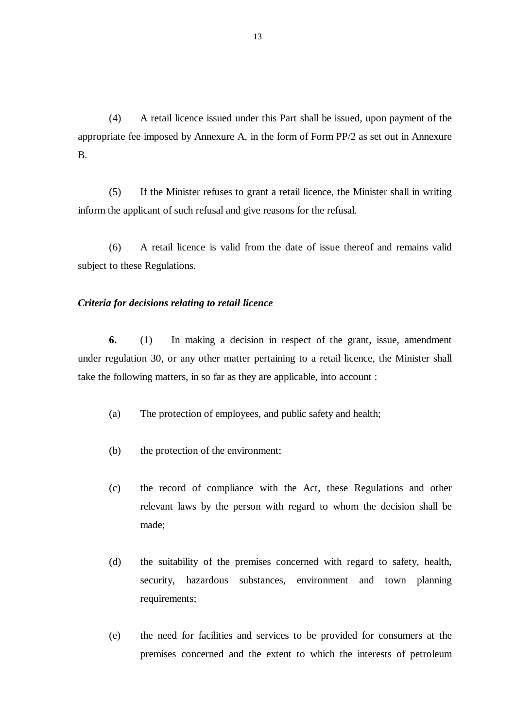(4) A retail licence issued under this Part shall be issued, upon payment of the appropriate fee imposed by Annexure A, in the form of Form PP/2 as set out in Annexure B.

 (5) If the Minister refuses to grant a retail licence, the Minister shall in writing inform the applicant of such refusal and give reasons for the refusal.

 (6) A retail licence is valid from the date of issue thereof and remains valid subject to these Regulations.

#### *Criteria for decisions relating to retail licence*

**6.** (1) In making a decision in respect of the grant, issue, amendment under regulation 30, or any other matter pertaining to a retail licence, the Minister shall take the following matters, in so far as they are applicable, into account :

- (a) The protection of employees, and public safety and health;
- (b) the protection of the environment;
- (c) the record of compliance with the Act, these Regulations and other relevant laws by the person with regard to whom the decision shall be made;
- (d) the suitability of the premises concerned with regard to safety, health, security, hazardous substances, environment and town planning requirements;
- (e) the need for facilities and services to be provided for consumers at the premises concerned and the extent to which the interests of petroleum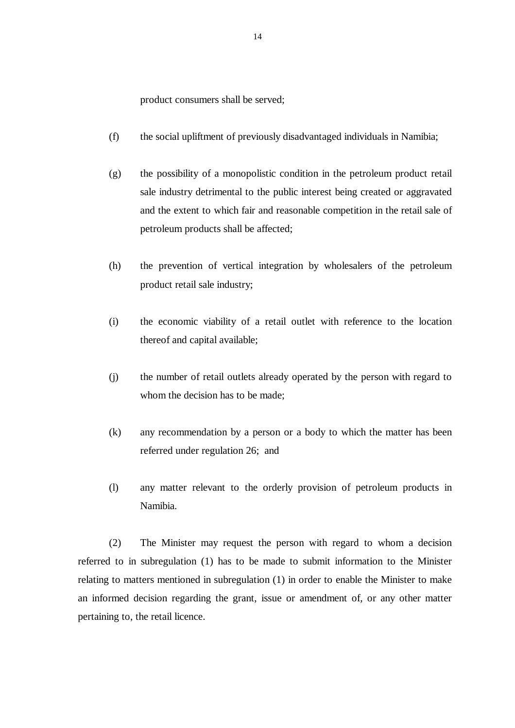product consumers shall be served;

- (f) the social upliftment of previously disadvantaged individuals in Namibia;
- (g) the possibility of a monopolistic condition in the petroleum product retail sale industry detrimental to the public interest being created or aggravated and the extent to which fair and reasonable competition in the retail sale of petroleum products shall be affected;
- (h) the prevention of vertical integration by wholesalers of the petroleum product retail sale industry;
- (i) the economic viability of a retail outlet with reference to the location thereof and capital available;
- (j) the number of retail outlets already operated by the person with regard to whom the decision has to be made;
- (k) any recommendation by a person or a body to which the matter has been referred under regulation 26; and
- (l) any matter relevant to the orderly provision of petroleum products in Namibia.

(2) The Minister may request the person with regard to whom a decision referred to in subregulation (1) has to be made to submit information to the Minister relating to matters mentioned in subregulation (1) in order to enable the Minister to make an informed decision regarding the grant, issue or amendment of, or any other matter pertaining to, the retail licence.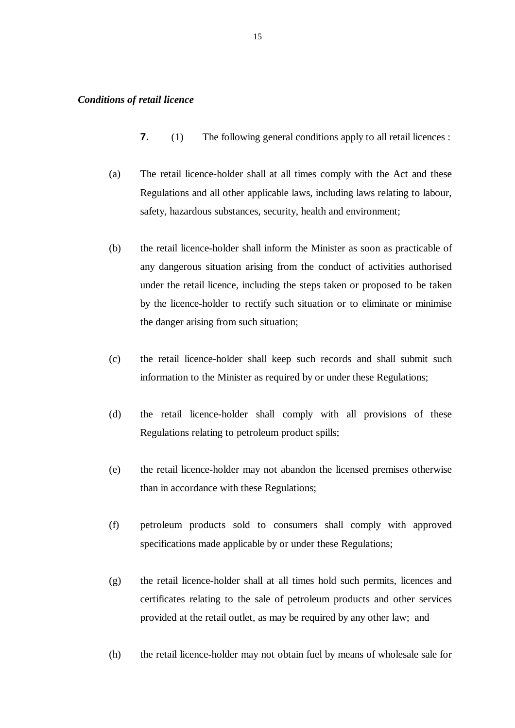- **7.** (1) The following general conditions apply to all retail licences :
- (a) The retail licence-holder shall at all times comply with the Act and these Regulations and all other applicable laws, including laws relating to labour, safety, hazardous substances, security, health and environment;
- (b) the retail licence-holder shall inform the Minister as soon as practicable of any dangerous situation arising from the conduct of activities authorised under the retail licence, including the steps taken or proposed to be taken by the licence-holder to rectify such situation or to eliminate or minimise the danger arising from such situation;
- (c) the retail licence-holder shall keep such records and shall submit such information to the Minister as required by or under these Regulations;
- (d) the retail licence-holder shall comply with all provisions of these Regulations relating to petroleum product spills;
- (e) the retail licence-holder may not abandon the licensed premises otherwise than in accordance with these Regulations;
- (f) petroleum products sold to consumers shall comply with approved specifications made applicable by or under these Regulations;
- (g) the retail licence-holder shall at all times hold such permits, licences and certificates relating to the sale of petroleum products and other services provided at the retail outlet, as may be required by any other law; and
- (h) the retail licence-holder may not obtain fuel by means of wholesale sale for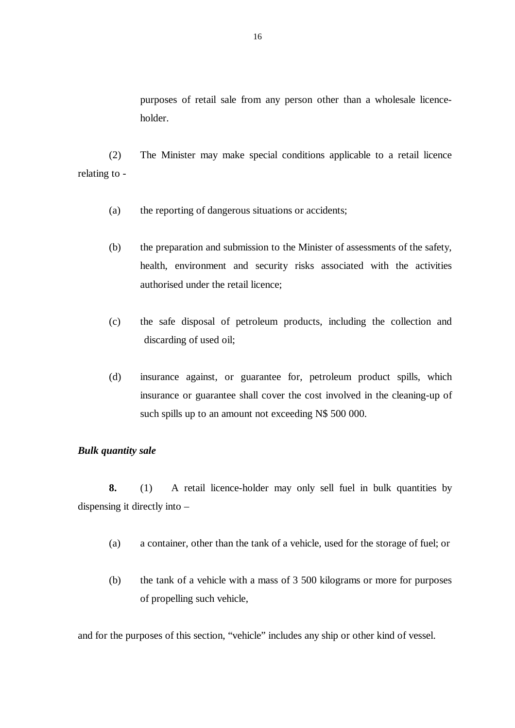purposes of retail sale from any person other than a wholesale licenceholder.

(2) The Minister may make special conditions applicable to a retail licence relating to -

- (a) the reporting of dangerous situations or accidents;
- (b) the preparation and submission to the Minister of assessments of the safety, health, environment and security risks associated with the activities authorised under the retail licence;
- (c) the safe disposal of petroleum products, including the collection and discarding of used oil;
- (d) insurance against, or guarantee for, petroleum product spills, which insurance or guarantee shall cover the cost involved in the cleaning-up of such spills up to an amount not exceeding N\$ 500 000.

#### *Bulk quantity sale*

**8.** (1) A retail licence-holder may only sell fuel in bulk quantities by dispensing it directly into –

- (a) a container, other than the tank of a vehicle, used for the storage of fuel; or
- (b) the tank of a vehicle with a mass of 3 500 kilograms or more for purposes of propelling such vehicle,

and for the purposes of this section, "vehicle" includes any ship or other kind of vessel.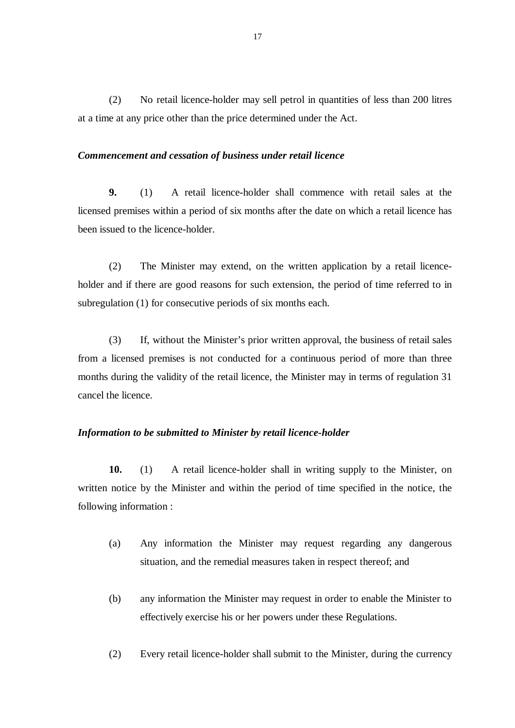(2) No retail licence-holder may sell petrol in quantities of less than 200 litres at a time at any price other than the price determined under the Act.

#### *Commencement and cessation of business under retail licence*

**9.** (1) A retail licence-holder shall commence with retail sales at the licensed premises within a period of six months after the date on which a retail licence has been issued to the licence-holder.

 (2) The Minister may extend, on the written application by a retail licenceholder and if there are good reasons for such extension, the period of time referred to in subregulation (1) for consecutive periods of six months each.

 (3) If, without the Minister's prior written approval, the business of retail sales from a licensed premises is not conducted for a continuous period of more than three months during the validity of the retail licence, the Minister may in terms of regulation 31 cancel the licence.

# *Information to be submitted to Minister by retail licence-holder*

**10.** (1) A retail licence-holder shall in writing supply to the Minister, on written notice by the Minister and within the period of time specified in the notice, the following information :

- (a) Any information the Minister may request regarding any dangerous situation, and the remedial measures taken in respect thereof; and
- (b) any information the Minister may request in order to enable the Minister to effectively exercise his or her powers under these Regulations.
- (2) Every retail licence-holder shall submit to the Minister, during the currency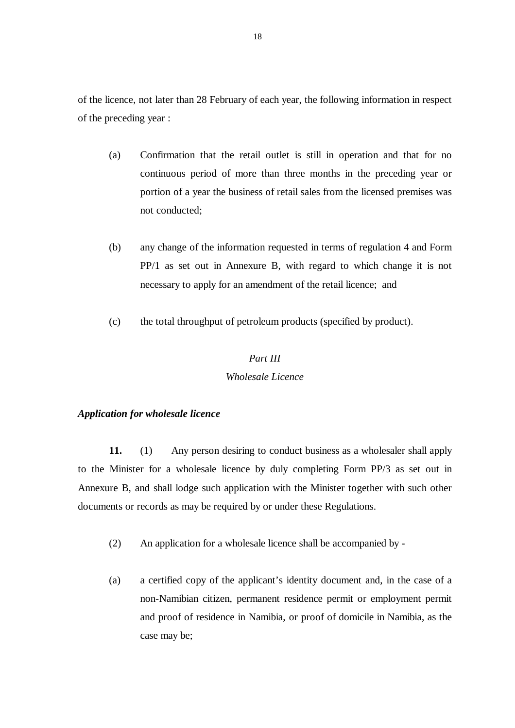of the licence, not later than 28 February of each year, the following information in respect of the preceding year :

- (a) Confirmation that the retail outlet is still in operation and that for no continuous period of more than three months in the preceding year or portion of a year the business of retail sales from the licensed premises was not conducted;
- (b) any change of the information requested in terms of regulation 4 and Form PP/1 as set out in Annexure B, with regard to which change it is not necessary to apply for an amendment of the retail licence; and
- (c) the total throughput of petroleum products (specified by product).

## *Part III*

# *Wholesale Licence*

#### *Application for wholesale licence*

**11.** (1) Any person desiring to conduct business as a wholesaler shall apply to the Minister for a wholesale licence by duly completing Form PP/3 as set out in Annexure B, and shall lodge such application with the Minister together with such other documents or records as may be required by or under these Regulations.

- (2) An application for a wholesale licence shall be accompanied by -
- (a) a certified copy of the applicant's identity document and, in the case of a non-Namibian citizen, permanent residence permit or employment permit and proof of residence in Namibia, or proof of domicile in Namibia, as the case may be;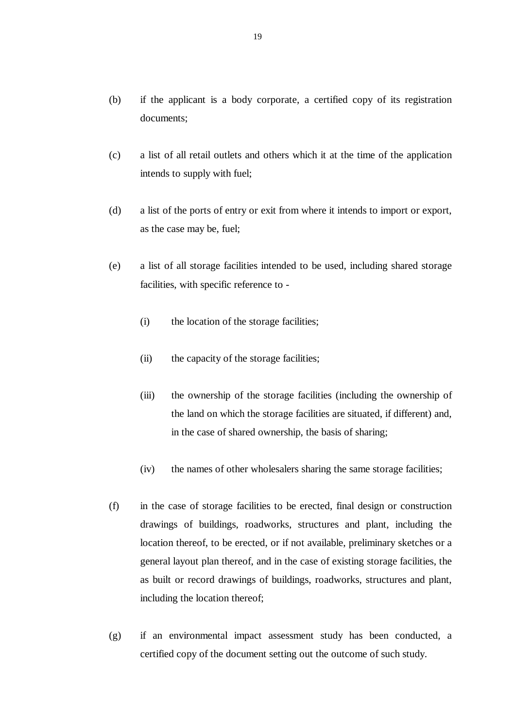- (b) if the applicant is a body corporate, a certified copy of its registration documents;
- (c) a list of all retail outlets and others which it at the time of the application intends to supply with fuel;
- (d) a list of the ports of entry or exit from where it intends to import or export, as the case may be, fuel;
- (e) a list of all storage facilities intended to be used, including shared storage facilities, with specific reference to -
	- (i) the location of the storage facilities;
	- (ii) the capacity of the storage facilities;
	- (iii) the ownership of the storage facilities (including the ownership of the land on which the storage facilities are situated, if different) and, in the case of shared ownership, the basis of sharing;
	- (iv) the names of other wholesalers sharing the same storage facilities;
- (f) in the case of storage facilities to be erected, final design or construction drawings of buildings, roadworks, structures and plant, including the location thereof, to be erected, or if not available, preliminary sketches or a general layout plan thereof, and in the case of existing storage facilities, the as built or record drawings of buildings, roadworks, structures and plant, including the location thereof;
- (g) if an environmental impact assessment study has been conducted, a certified copy of the document setting out the outcome of such study.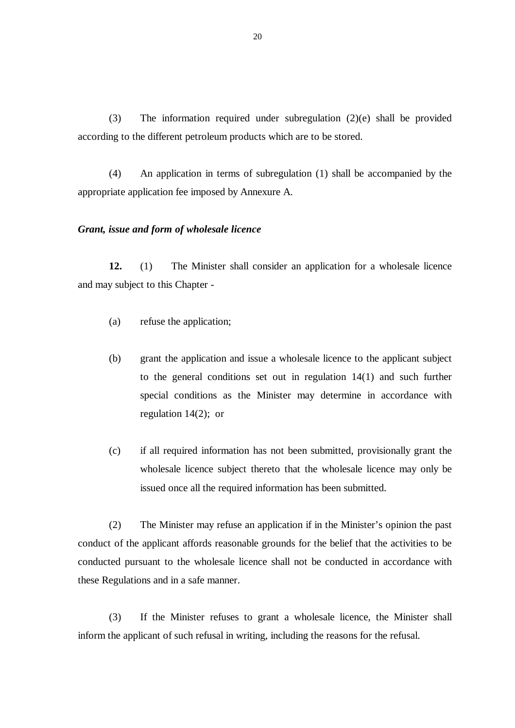(3) The information required under subregulation (2)(e) shall be provided according to the different petroleum products which are to be stored.

(4) An application in terms of subregulation (1) shall be accompanied by the appropriate application fee imposed by Annexure A.

#### *Grant, issue and form of wholesale licence*

**12.** (1) The Minister shall consider an application for a wholesale licence and may subject to this Chapter -

- (a) refuse the application;
- (b) grant the application and issue a wholesale licence to the applicant subject to the general conditions set out in regulation 14(1) and such further special conditions as the Minister may determine in accordance with regulation 14(2); or
- (c) if all required information has not been submitted, provisionally grant the wholesale licence subject thereto that the wholesale licence may only be issued once all the required information has been submitted.

 (2) The Minister may refuse an application if in the Minister's opinion the past conduct of the applicant affords reasonable grounds for the belief that the activities to be conducted pursuant to the wholesale licence shall not be conducted in accordance with these Regulations and in a safe manner.

 (3) If the Minister refuses to grant a wholesale licence, the Minister shall inform the applicant of such refusal in writing, including the reasons for the refusal.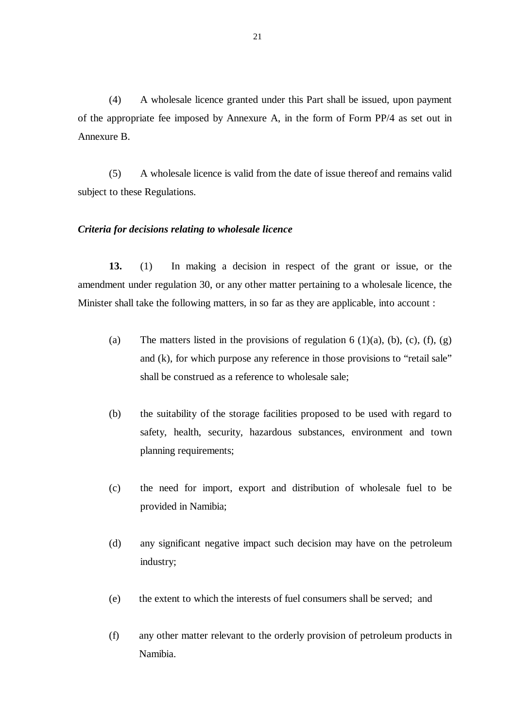(4) A wholesale licence granted under this Part shall be issued, upon payment of the appropriate fee imposed by Annexure A, in the form of Form PP/4 as set out in Annexure B.

 (5) A wholesale licence is valid from the date of issue thereof and remains valid subject to these Regulations.

#### *Criteria for decisions relating to wholesale licence*

**13.** (1) In making a decision in respect of the grant or issue, or the amendment under regulation 30, or any other matter pertaining to a wholesale licence, the Minister shall take the following matters, in so far as they are applicable, into account :

- (a) The matters listed in the provisions of regulation  $6 \text{ (1)(a)}$ , (b), (c), (f), (g) and (k), for which purpose any reference in those provisions to "retail sale" shall be construed as a reference to wholesale sale;
- (b) the suitability of the storage facilities proposed to be used with regard to safety, health, security, hazardous substances, environment and town planning requirements;
- (c) the need for import, export and distribution of wholesale fuel to be provided in Namibia;
- (d) any significant negative impact such decision may have on the petroleum industry;
- (e) the extent to which the interests of fuel consumers shall be served; and
- (f) any other matter relevant to the orderly provision of petroleum products in Namibia.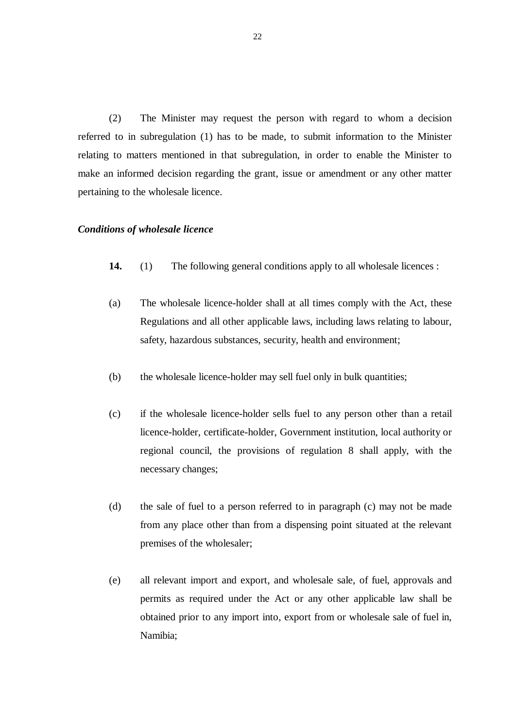(2) The Minister may request the person with regard to whom a decision referred to in subregulation (1) has to be made, to submit information to the Minister relating to matters mentioned in that subregulation, in order to enable the Minister to make an informed decision regarding the grant, issue or amendment or any other matter pertaining to the wholesale licence.

#### *Conditions of wholesale licence*

- **14.** (1) The following general conditions apply to all wholesale licences :
- (a) The wholesale licence-holder shall at all times comply with the Act, these Regulations and all other applicable laws, including laws relating to labour, safety, hazardous substances, security, health and environment;
- (b) the wholesale licence-holder may sell fuel only in bulk quantities;
- (c) if the wholesale licence-holder sells fuel to any person other than a retail licence-holder, certificate-holder, Government institution, local authority or regional council, the provisions of regulation 8 shall apply, with the necessary changes;
- (d) the sale of fuel to a person referred to in paragraph (c) may not be made from any place other than from a dispensing point situated at the relevant premises of the wholesaler;
- (e) all relevant import and export, and wholesale sale, of fuel, approvals and permits as required under the Act or any other applicable law shall be obtained prior to any import into, export from or wholesale sale of fuel in, Namibia;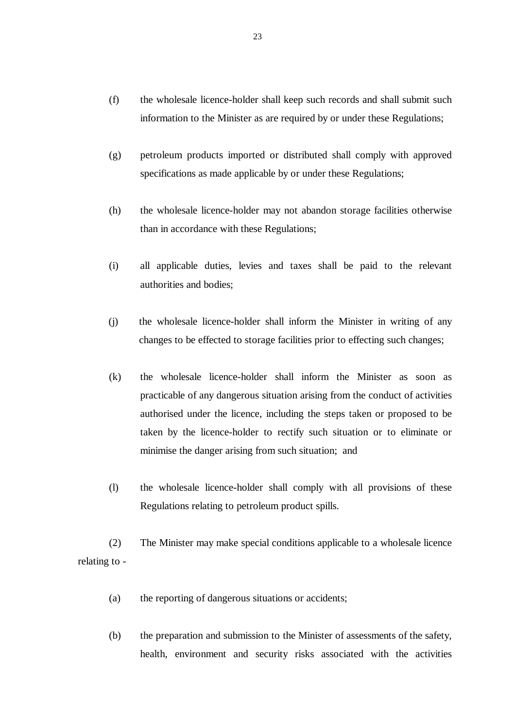- (f) the wholesale licence-holder shall keep such records and shall submit such information to the Minister as are required by or under these Regulations;
- (g) petroleum products imported or distributed shall comply with approved specifications as made applicable by or under these Regulations;
- (h) the wholesale licence-holder may not abandon storage facilities otherwise than in accordance with these Regulations;
- (i) all applicable duties, levies and taxes shall be paid to the relevant authorities and bodies;
- (j) the wholesale licence-holder shall inform the Minister in writing of any changes to be effected to storage facilities prior to effecting such changes;
- (k) the wholesale licence-holder shall inform the Minister as soon as practicable of any dangerous situation arising from the conduct of activities authorised under the licence, including the steps taken or proposed to be taken by the licence-holder to rectify such situation or to eliminate or minimise the danger arising from such situation; and
- (l) the wholesale licence-holder shall comply with all provisions of these Regulations relating to petroleum product spills.

(2) The Minister may make special conditions applicable to a wholesale licence relating to -

- (a) the reporting of dangerous situations or accidents;
- (b) the preparation and submission to the Minister of assessments of the safety, health, environment and security risks associated with the activities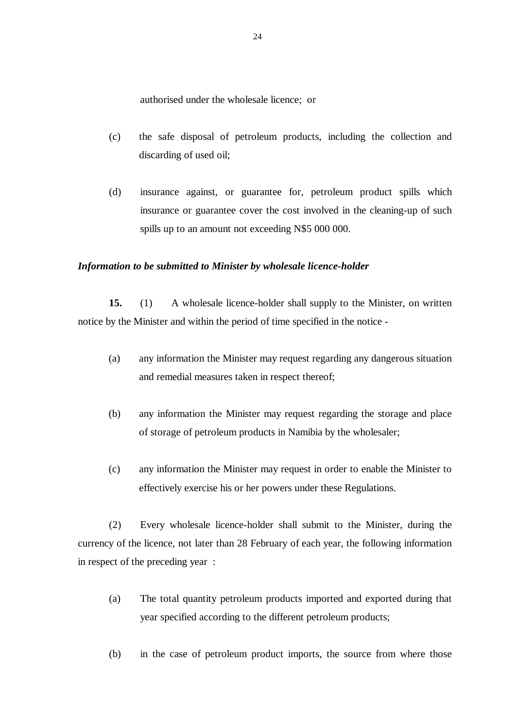authorised under the wholesale licence; or

- (c) the safe disposal of petroleum products, including the collection and discarding of used oil;
- (d) insurance against, or guarantee for, petroleum product spills which insurance or guarantee cover the cost involved in the cleaning-up of such spills up to an amount not exceeding N\$5 000 000.

#### *Information to be submitted to Minister by wholesale licence-holder*

**15.** (1) A wholesale licence-holder shall supply to the Minister, on written notice by the Minister and within the period of time specified in the notice -

- (a) any information the Minister may request regarding any dangerous situation and remedial measures taken in respect thereof;
- (b) any information the Minister may request regarding the storage and place of storage of petroleum products in Namibia by the wholesaler;
- (c) any information the Minister may request in order to enable the Minister to effectively exercise his or her powers under these Regulations.

 (2) Every wholesale licence-holder shall submit to the Minister, during the currency of the licence, not later than 28 February of each year, the following information in respect of the preceding year :

- (a) The total quantity petroleum products imported and exported during that year specified according to the different petroleum products;
- (b) in the case of petroleum product imports, the source from where those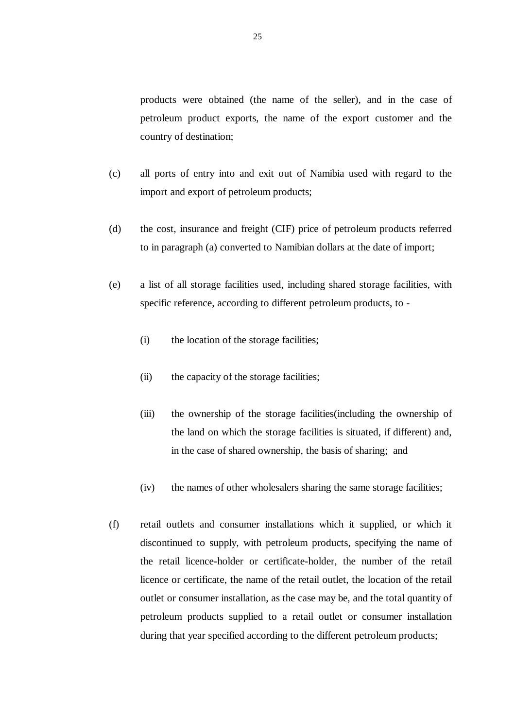products were obtained (the name of the seller), and in the case of petroleum product exports, the name of the export customer and the country of destination;

- (c) all ports of entry into and exit out of Namibia used with regard to the import and export of petroleum products;
- (d) the cost, insurance and freight (CIF) price of petroleum products referred to in paragraph (a) converted to Namibian dollars at the date of import;
- (e) a list of all storage facilities used, including shared storage facilities, with specific reference, according to different petroleum products, to -
	- (i) the location of the storage facilities;
	- (ii) the capacity of the storage facilities;
	- (iii) the ownership of the storage facilities(including the ownership of the land on which the storage facilities is situated, if different) and, in the case of shared ownership, the basis of sharing; and
	- (iv) the names of other wholesalers sharing the same storage facilities;
- (f) retail outlets and consumer installations which it supplied, or which it discontinued to supply, with petroleum products, specifying the name of the retail licence-holder or certificate-holder, the number of the retail licence or certificate, the name of the retail outlet, the location of the retail outlet or consumer installation, as the case may be, and the total quantity of petroleum products supplied to a retail outlet or consumer installation during that year specified according to the different petroleum products;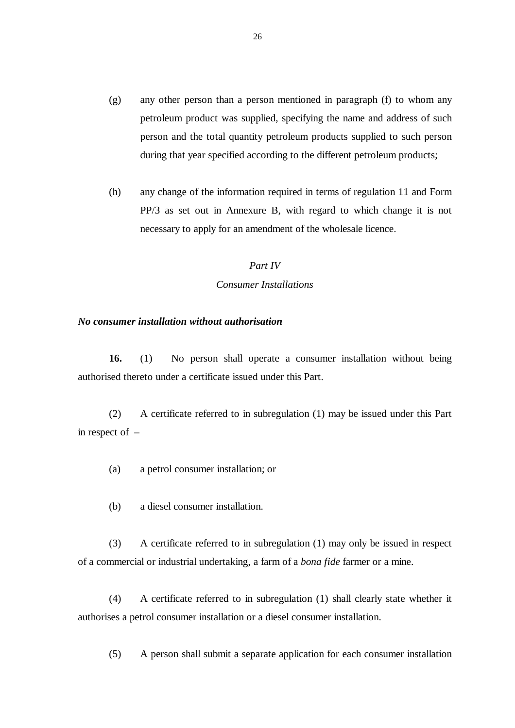- (g) any other person than a person mentioned in paragraph (f) to whom any petroleum product was supplied, specifying the name and address of such person and the total quantity petroleum products supplied to such person during that year specified according to the different petroleum products;
- (h) any change of the information required in terms of regulation 11 and Form PP/3 as set out in Annexure B, with regard to which change it is not necessary to apply for an amendment of the wholesale licence.

#### *Part IV*

#### *Consumer Installations*

#### *No consumer installation without authorisation*

**16.** (1) No person shall operate a consumer installation without being authorised thereto under a certificate issued under this Part.

 (2) A certificate referred to in subregulation (1) may be issued under this Part in respect of –

- (a) a petrol consumer installation; or
- (b) a diesel consumer installation.

 (3) A certificate referred to in subregulation (1) may only be issued in respect of a commercial or industrial undertaking, a farm of a *bona fide* farmer or a mine.

 (4) A certificate referred to in subregulation (1) shall clearly state whether it authorises a petrol consumer installation or a diesel consumer installation.

(5) A person shall submit a separate application for each consumer installation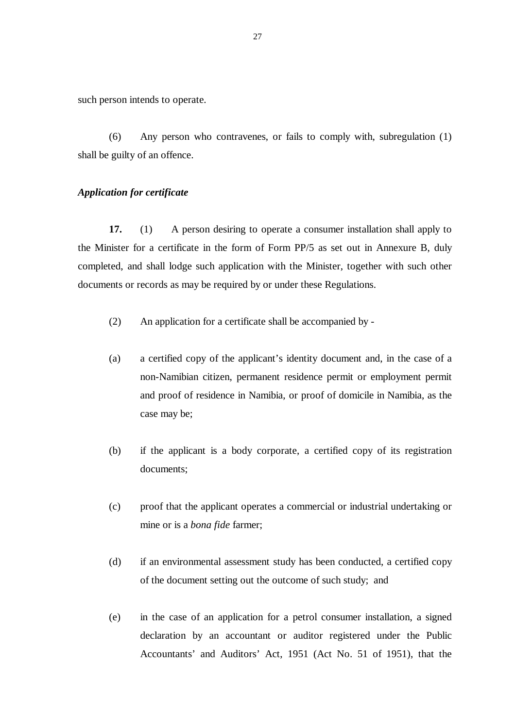such person intends to operate.

 (6) Any person who contravenes, or fails to comply with, subregulation (1) shall be guilty of an offence.

## *Application for certificate*

**17.** (1) A person desiring to operate a consumer installation shall apply to the Minister for a certificate in the form of Form PP/5 as set out in Annexure B, duly completed, and shall lodge such application with the Minister, together with such other documents or records as may be required by or under these Regulations.

- (2) An application for a certificate shall be accompanied by -
- (a) a certified copy of the applicant's identity document and, in the case of a non-Namibian citizen, permanent residence permit or employment permit and proof of residence in Namibia, or proof of domicile in Namibia, as the case may be;
- (b) if the applicant is a body corporate, a certified copy of its registration documents;
- (c) proof that the applicant operates a commercial or industrial undertaking or mine or is a *bona fide* farmer;
- (d) if an environmental assessment study has been conducted, a certified copy of the document setting out the outcome of such study; and
- (e) in the case of an application for a petrol consumer installation, a signed declaration by an accountant or auditor registered under the Public Accountants' and Auditors' Act, 1951 (Act No. 51 of 1951), that the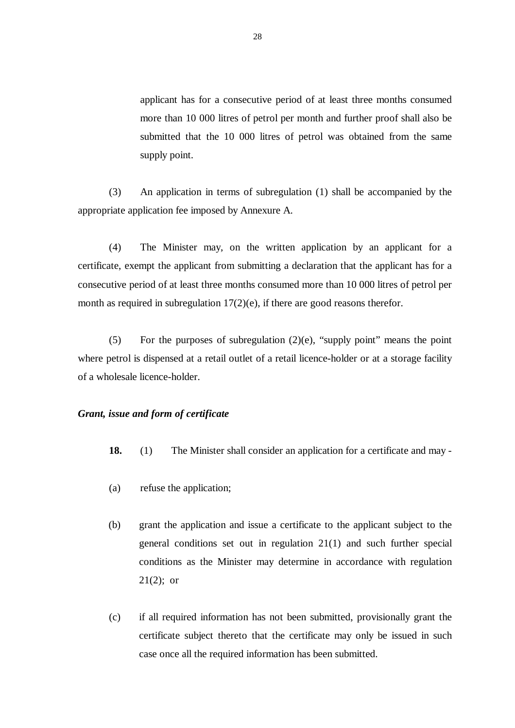applicant has for a consecutive period of at least three months consumed more than 10 000 litres of petrol per month and further proof shall also be submitted that the 10 000 litres of petrol was obtained from the same supply point.

 (3) An application in terms of subregulation (1) shall be accompanied by the appropriate application fee imposed by Annexure A.

 (4) The Minister may, on the written application by an applicant for a certificate, exempt the applicant from submitting a declaration that the applicant has for a consecutive period of at least three months consumed more than 10 000 litres of petrol per month as required in subregulation 17(2)(e), if there are good reasons therefor.

(5) For the purposes of subregulation  $(2)(e)$ , "supply point" means the point where petrol is dispensed at a retail outlet of a retail licence-holder or at a storage facility of a wholesale licence-holder.

#### *Grant, issue and form of certificate*

- **18.** (1) The Minister shall consider an application for a certificate and may -
- (a) refuse the application;
- (b) grant the application and issue a certificate to the applicant subject to the general conditions set out in regulation 21(1) and such further special conditions as the Minister may determine in accordance with regulation  $21(2)$ ; or
- (c) if all required information has not been submitted, provisionally grant the certificate subject thereto that the certificate may only be issued in such case once all the required information has been submitted.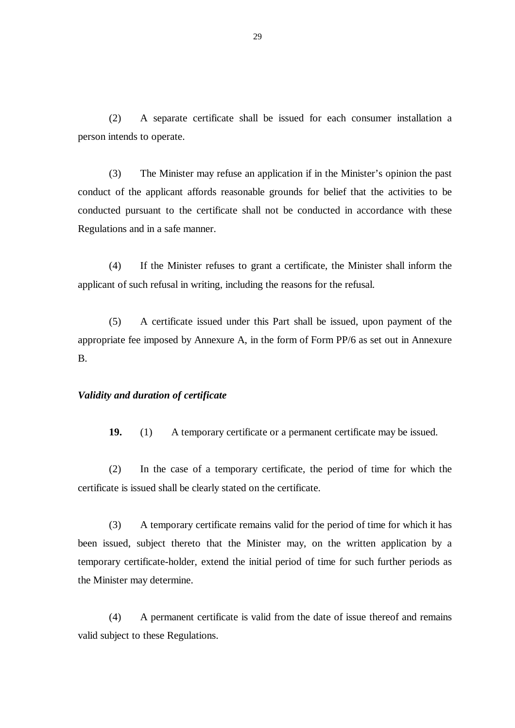(2) A separate certificate shall be issued for each consumer installation a person intends to operate.

 (3) The Minister may refuse an application if in the Minister's opinion the past conduct of the applicant affords reasonable grounds for belief that the activities to be conducted pursuant to the certificate shall not be conducted in accordance with these Regulations and in a safe manner.

(4) If the Minister refuses to grant a certificate, the Minister shall inform the applicant of such refusal in writing, including the reasons for the refusal.

(5) A certificate issued under this Part shall be issued, upon payment of the appropriate fee imposed by Annexure A, in the form of Form PP/6 as set out in Annexure B.

#### *Validity and duration of certificate*

**19.** (1) A temporary certificate or a permanent certificate may be issued.

(2) In the case of a temporary certificate, the period of time for which the certificate is issued shall be clearly stated on the certificate.

 (3) A temporary certificate remains valid for the period of time for which it has been issued, subject thereto that the Minister may, on the written application by a temporary certificate-holder, extend the initial period of time for such further periods as the Minister may determine.

 (4) A permanent certificate is valid from the date of issue thereof and remains valid subject to these Regulations.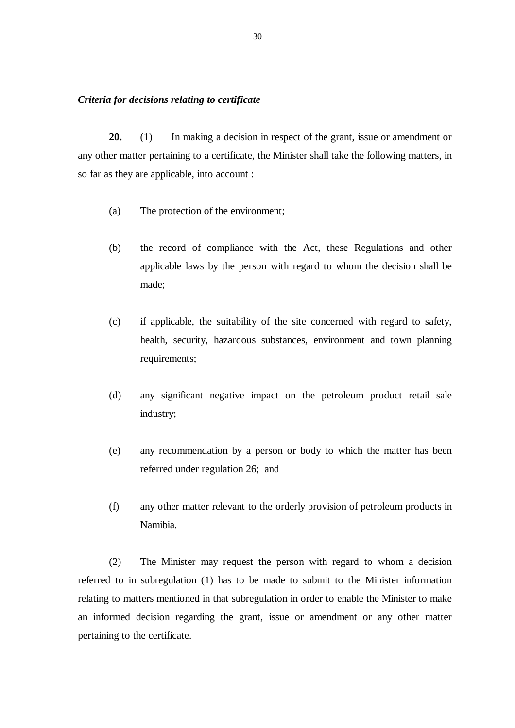#### *Criteria for decisions relating to certificate*

**20.** (1) In making a decision in respect of the grant, issue or amendment or any other matter pertaining to a certificate, the Minister shall take the following matters, in so far as they are applicable, into account :

- (a) The protection of the environment;
- (b) the record of compliance with the Act, these Regulations and other applicable laws by the person with regard to whom the decision shall be made;
- (c) if applicable, the suitability of the site concerned with regard to safety, health, security, hazardous substances, environment and town planning requirements;
- (d) any significant negative impact on the petroleum product retail sale industry;
- (e) any recommendation by a person or body to which the matter has been referred under regulation 26; and
- (f) any other matter relevant to the orderly provision of petroleum products in Namibia.

(2) The Minister may request the person with regard to whom a decision referred to in subregulation (1) has to be made to submit to the Minister information relating to matters mentioned in that subregulation in order to enable the Minister to make an informed decision regarding the grant, issue or amendment or any other matter pertaining to the certificate.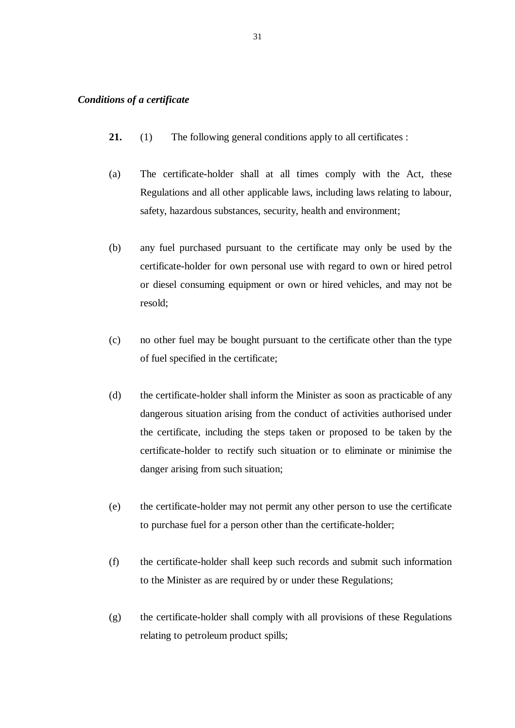# *Conditions of a certificate*

- **21.** (1) The following general conditions apply to all certificates :
- (a) The certificate-holder shall at all times comply with the Act, these Regulations and all other applicable laws, including laws relating to labour, safety, hazardous substances, security, health and environment;
- (b) any fuel purchased pursuant to the certificate may only be used by the certificate-holder for own personal use with regard to own or hired petrol or diesel consuming equipment or own or hired vehicles, and may not be resold;
- (c) no other fuel may be bought pursuant to the certificate other than the type of fuel specified in the certificate;
- (d) the certificate-holder shall inform the Minister as soon as practicable of any dangerous situation arising from the conduct of activities authorised under the certificate, including the steps taken or proposed to be taken by the certificate-holder to rectify such situation or to eliminate or minimise the danger arising from such situation;
- (e) the certificate-holder may not permit any other person to use the certificate to purchase fuel for a person other than the certificate-holder;
- (f) the certificate-holder shall keep such records and submit such information to the Minister as are required by or under these Regulations;
- (g) the certificate-holder shall comply with all provisions of these Regulations relating to petroleum product spills;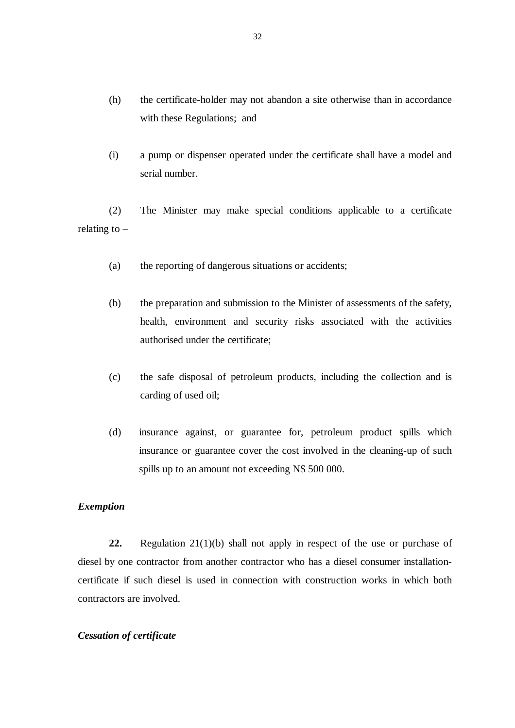- (h) the certificate-holder may not abandon a site otherwise than in accordance with these Regulations; and
- (i) a pump or dispenser operated under the certificate shall have a model and serial number.

 (2) The Minister may make special conditions applicable to a certificate relating to  $-$ 

- (a) the reporting of dangerous situations or accidents;
- (b) the preparation and submission to the Minister of assessments of the safety, health, environment and security risks associated with the activities authorised under the certificate;
- (c) the safe disposal of petroleum products, including the collection and is carding of used oil;
- (d) insurance against, or guarantee for, petroleum product spills which insurance or guarantee cover the cost involved in the cleaning-up of such spills up to an amount not exceeding N\$ 500 000.

# *Exemption*

**22.** Regulation 21(1)(b) shall not apply in respect of the use or purchase of diesel by one contractor from another contractor who has a diesel consumer installationcertificate if such diesel is used in connection with construction works in which both contractors are involved.

#### *Cessation of certificate*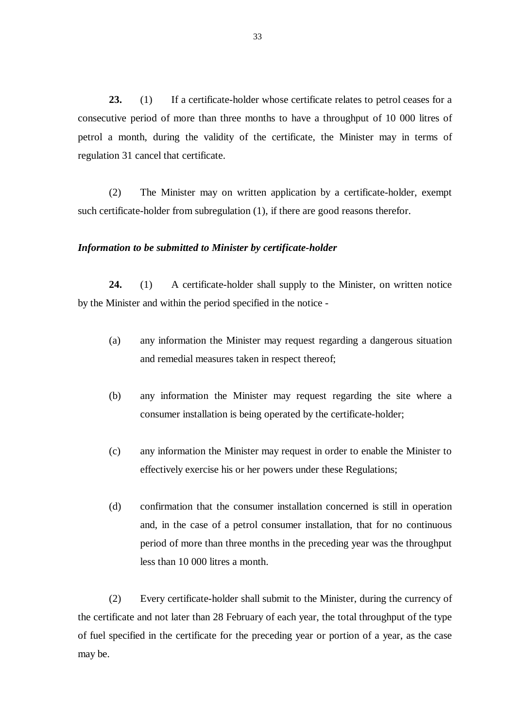**23.** (1) If a certificate-holder whose certificate relates to petrol ceases for a consecutive period of more than three months to have a throughput of 10 000 litres of petrol a month, during the validity of the certificate, the Minister may in terms of regulation 31 cancel that certificate.

 (2) The Minister may on written application by a certificate-holder, exempt such certificate-holder from subregulation (1), if there are good reasons therefor.

#### *Information to be submitted to Minister by certificate-holder*

**24.** (1) A certificate-holder shall supply to the Minister, on written notice by the Minister and within the period specified in the notice -

- (a) any information the Minister may request regarding a dangerous situation and remedial measures taken in respect thereof;
- (b) any information the Minister may request regarding the site where a consumer installation is being operated by the certificate-holder;
- (c) any information the Minister may request in order to enable the Minister to effectively exercise his or her powers under these Regulations;
- (d) confirmation that the consumer installation concerned is still in operation and, in the case of a petrol consumer installation, that for no continuous period of more than three months in the preceding year was the throughput less than 10 000 litres a month.

(2) Every certificate-holder shall submit to the Minister, during the currency of the certificate and not later than 28 February of each year, the total throughput of the type of fuel specified in the certificate for the preceding year or portion of a year, as the case may be.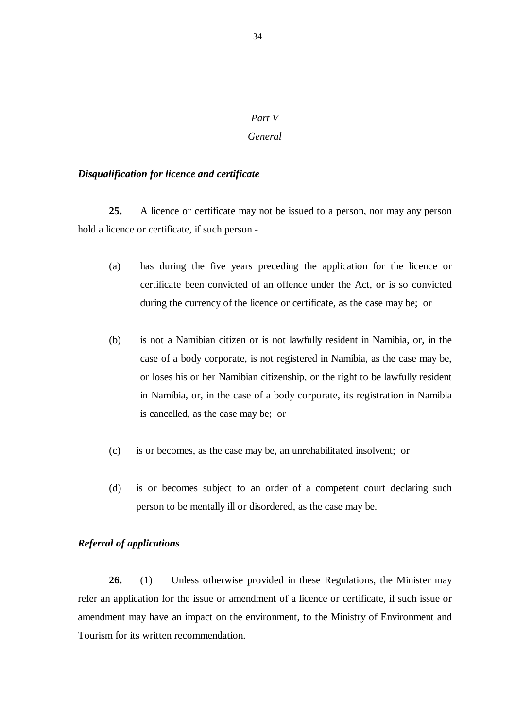# *Part V*

#### *General*

#### *Disqualification for licence and certificate*

**25.** A licence or certificate may not be issued to a person, nor may any person hold a licence or certificate, if such person -

- (a) has during the five years preceding the application for the licence or certificate been convicted of an offence under the Act, or is so convicted during the currency of the licence or certificate, as the case may be; or
- (b) is not a Namibian citizen or is not lawfully resident in Namibia, or, in the case of a body corporate, is not registered in Namibia, as the case may be, or loses his or her Namibian citizenship, or the right to be lawfully resident in Namibia, or, in the case of a body corporate, its registration in Namibia is cancelled, as the case may be; or
- (c) is or becomes, as the case may be, an unrehabilitated insolvent; or
- (d) is or becomes subject to an order of a competent court declaring such person to be mentally ill or disordered, as the case may be.

#### *Referral of applications*

**26.** (1) Unless otherwise provided in these Regulations, the Minister may refer an application for the issue or amendment of a licence or certificate, if such issue or amendment may have an impact on the environment, to the Ministry of Environment and Tourism for its written recommendation.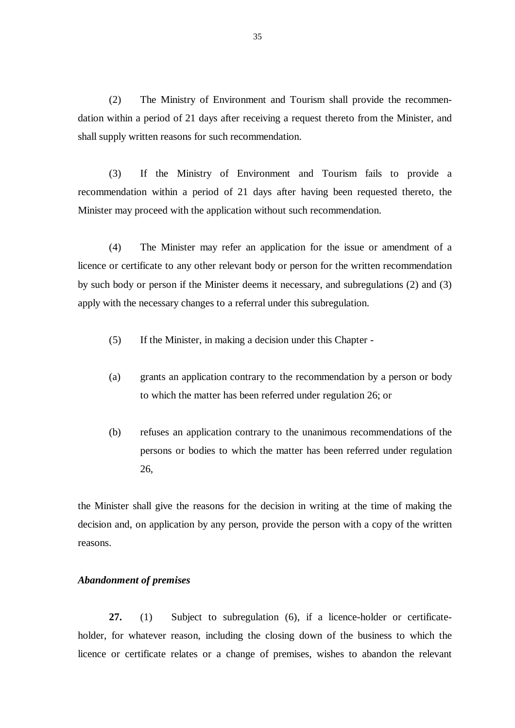(2) The Ministry of Environment and Tourism shall provide the recommendation within a period of 21 days after receiving a request thereto from the Minister, and shall supply written reasons for such recommendation.

 (3) If the Ministry of Environment and Tourism fails to provide a recommendation within a period of 21 days after having been requested thereto, the Minister may proceed with the application without such recommendation.

 (4) The Minister may refer an application for the issue or amendment of a licence or certificate to any other relevant body or person for the written recommendation by such body or person if the Minister deems it necessary, and subregulations (2) and (3) apply with the necessary changes to a referral under this subregulation.

- (5) If the Minister, in making a decision under this Chapter -
- (a) grants an application contrary to the recommendation by a person or body to which the matter has been referred under regulation 26; or
- (b) refuses an application contrary to the unanimous recommendations of the persons or bodies to which the matter has been referred under regulation 26,

the Minister shall give the reasons for the decision in writing at the time of making the decision and, on application by any person, provide the person with a copy of the written reasons.

#### *Abandonment of premises*

**27.** (1) Subject to subregulation (6), if a licence-holder or certificateholder, for whatever reason, including the closing down of the business to which the licence or certificate relates or a change of premises, wishes to abandon the relevant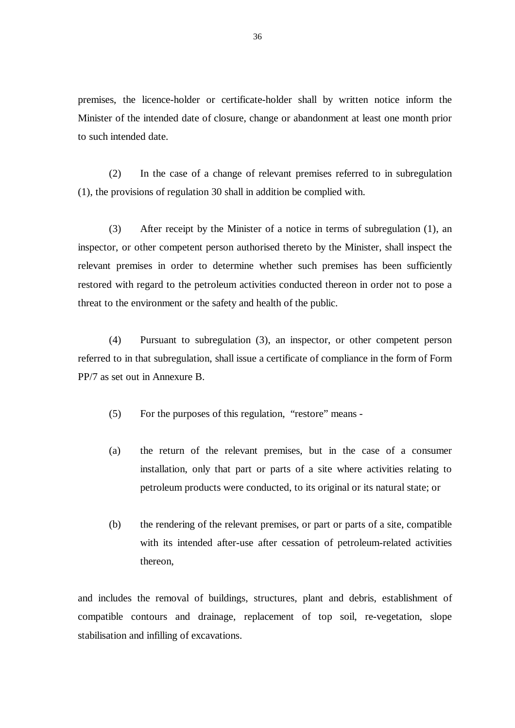premises, the licence-holder or certificate-holder shall by written notice inform the Minister of the intended date of closure, change or abandonment at least one month prior to such intended date.

(2) In the case of a change of relevant premises referred to in subregulation (1), the provisions of regulation 30 shall in addition be complied with.

 (3) After receipt by the Minister of a notice in terms of subregulation (1), an inspector, or other competent person authorised thereto by the Minister, shall inspect the relevant premises in order to determine whether such premises has been sufficiently restored with regard to the petroleum activities conducted thereon in order not to pose a threat to the environment or the safety and health of the public.

 (4) Pursuant to subregulation (3), an inspector, or other competent person referred to in that subregulation, shall issue a certificate of compliance in the form of Form PP/7 as set out in Annexure B.

(5) For the purposes of this regulation, "restore" means -

- (a) the return of the relevant premises, but in the case of a consumer installation, only that part or parts of a site where activities relating to petroleum products were conducted, to its original or its natural state; or
- (b) the rendering of the relevant premises, or part or parts of a site, compatible with its intended after-use after cessation of petroleum-related activities thereon,

and includes the removal of buildings, structures, plant and debris, establishment of compatible contours and drainage, replacement of top soil, re-vegetation, slope stabilisation and infilling of excavations.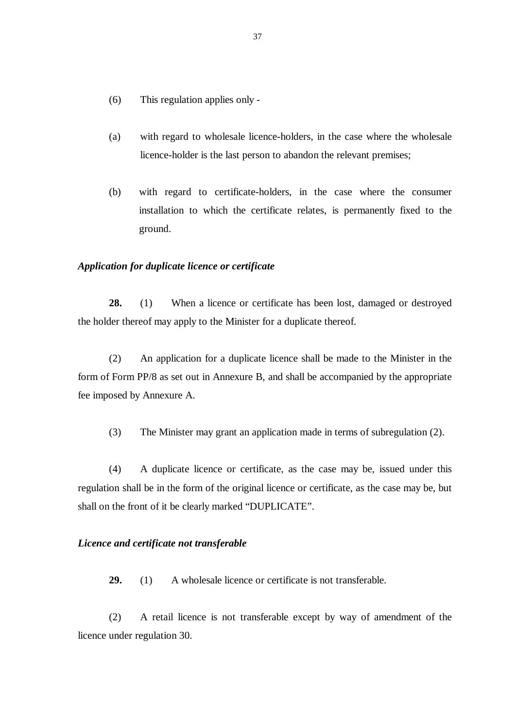- (6) This regulation applies only -
- (a) with regard to wholesale licence-holders, in the case where the wholesale licence-holder is the last person to abandon the relevant premises;
- (b) with regard to certificate-holders, in the case where the consumer installation to which the certificate relates, is permanently fixed to the ground.

#### *Application for duplicate licence or certificate*

**28.** (1) When a licence or certificate has been lost, damaged or destroyed the holder thereof may apply to the Minister for a duplicate thereof.

 (2) An application for a duplicate licence shall be made to the Minister in the form of Form PP/8 as set out in Annexure B, and shall be accompanied by the appropriate fee imposed by Annexure A.

(3) The Minister may grant an application made in terms of subregulation (2).

 (4) A duplicate licence or certificate, as the case may be, issued under this regulation shall be in the form of the original licence or certificate, as the case may be, but shall on the front of it be clearly marked "DUPLICATE".

#### *Licence and certificate not transferable*

**29.** (1) A wholesale licence or certificate is not transferable.

 (2) A retail licence is not transferable except by way of amendment of the licence under regulation 30.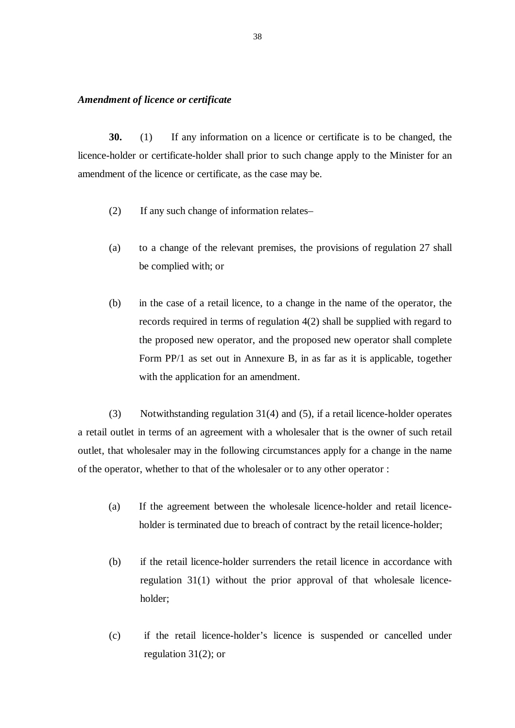#### *Amendment of licence or certificate*

**30.** (1) If any information on a licence or certificate is to be changed, the licence-holder or certificate-holder shall prior to such change apply to the Minister for an amendment of the licence or certificate, as the case may be.

- (2) If any such change of information relates–
- (a) to a change of the relevant premises, the provisions of regulation 27 shall be complied with; or
- (b) in the case of a retail licence, to a change in the name of the operator, the records required in terms of regulation 4(2) shall be supplied with regard to the proposed new operator, and the proposed new operator shall complete Form PP/1 as set out in Annexure B, in as far as it is applicable, together with the application for an amendment.

 (3) Notwithstanding regulation 31(4) and (5), if a retail licence-holder operates a retail outlet in terms of an agreement with a wholesaler that is the owner of such retail outlet, that wholesaler may in the following circumstances apply for a change in the name of the operator, whether to that of the wholesaler or to any other operator :

- (a) If the agreement between the wholesale licence-holder and retail licenceholder is terminated due to breach of contract by the retail licence-holder;
- (b) if the retail licence-holder surrenders the retail licence in accordance with regulation 31(1) without the prior approval of that wholesale licenceholder;
- (c) if the retail licence-holder's licence is suspended or cancelled under regulation 31(2); or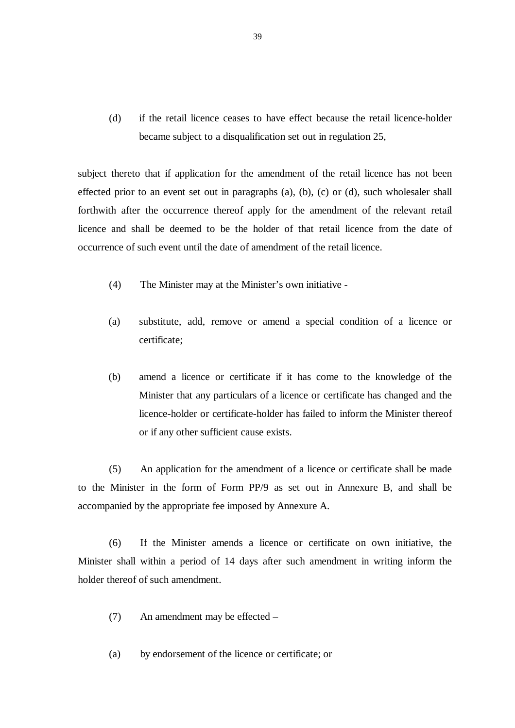(d) if the retail licence ceases to have effect because the retail licence-holder became subject to a disqualification set out in regulation 25,

subject thereto that if application for the amendment of the retail licence has not been effected prior to an event set out in paragraphs (a), (b), (c) or (d), such wholesaler shall forthwith after the occurrence thereof apply for the amendment of the relevant retail licence and shall be deemed to be the holder of that retail licence from the date of occurrence of such event until the date of amendment of the retail licence.

- (4) The Minister may at the Minister's own initiative -
- (a) substitute, add, remove or amend a special condition of a licence or certificate;
- (b) amend a licence or certificate if it has come to the knowledge of the Minister that any particulars of a licence or certificate has changed and the licence-holder or certificate-holder has failed to inform the Minister thereof or if any other sufficient cause exists.

 (5) An application for the amendment of a licence or certificate shall be made to the Minister in the form of Form PP/9 as set out in Annexure B, and shall be accompanied by the appropriate fee imposed by Annexure A.

 (6) If the Minister amends a licence or certificate on own initiative, the Minister shall within a period of 14 days after such amendment in writing inform the holder thereof of such amendment.

- (7) An amendment may be effected –
- (a) by endorsement of the licence or certificate; or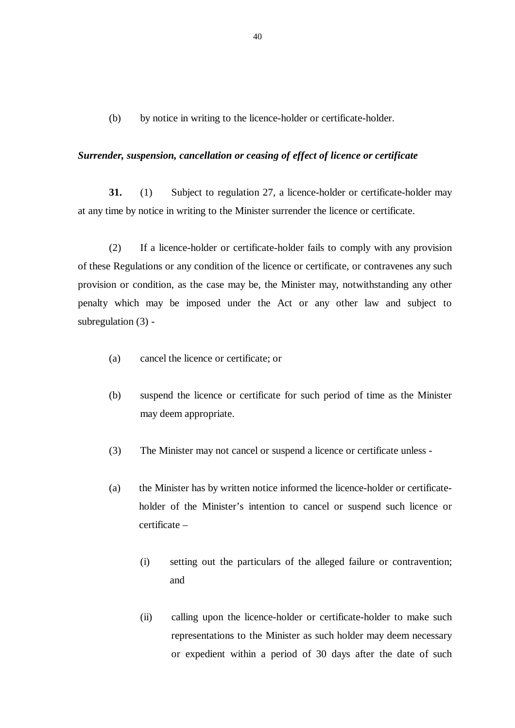(b) by notice in writing to the licence-holder or certificate-holder.

#### *Surrender, suspension, cancellation or ceasing of effect of licence or certificate*

**31.** (1) Subject to regulation 27, a licence-holder or certificate-holder may at any time by notice in writing to the Minister surrender the licence or certificate.

 (2) If a licence-holder or certificate-holder fails to comply with any provision of these Regulations or any condition of the licence or certificate, or contravenes any such provision or condition, as the case may be, the Minister may, notwithstanding any other penalty which may be imposed under the Act or any other law and subject to subregulation (3) -

- (a) cancel the licence or certificate; or
- (b) suspend the licence or certificate for such period of time as the Minister may deem appropriate.
- (3) The Minister may not cancel or suspend a licence or certificate unless -
- (a) the Minister has by written notice informed the licence-holder or certificateholder of the Minister's intention to cancel or suspend such licence or certificate –
	- (i) setting out the particulars of the alleged failure or contravention; and
	- (ii) calling upon the licence-holder or certificate-holder to make such representations to the Minister as such holder may deem necessary or expedient within a period of 30 days after the date of such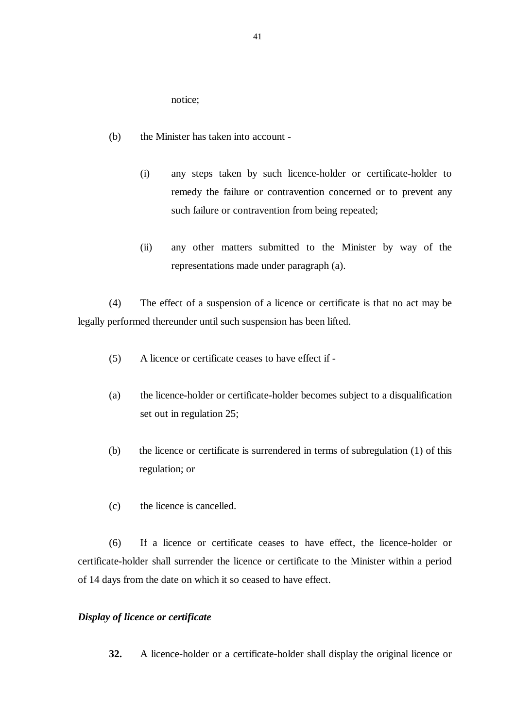notice;

- (b) the Minister has taken into account
	- (i) any steps taken by such licence-holder or certificate-holder to remedy the failure or contravention concerned or to prevent any such failure or contravention from being repeated;
	- (ii) any other matters submitted to the Minister by way of the representations made under paragraph (a).

 (4) The effect of a suspension of a licence or certificate is that no act may be legally performed thereunder until such suspension has been lifted.

- (5) A licence or certificate ceases to have effect if -
- (a) the licence-holder or certificate-holder becomes subject to a disqualification set out in regulation 25;
- (b) the licence or certificate is surrendered in terms of subregulation (1) of this regulation; or
- (c) the licence is cancelled.

(6) If a licence or certificate ceases to have effect, the licence-holder or certificate-holder shall surrender the licence or certificate to the Minister within a period of 14 days from the date on which it so ceased to have effect.

## *Display of licence or certificate*

**32.** A licence-holder or a certificate-holder shall display the original licence or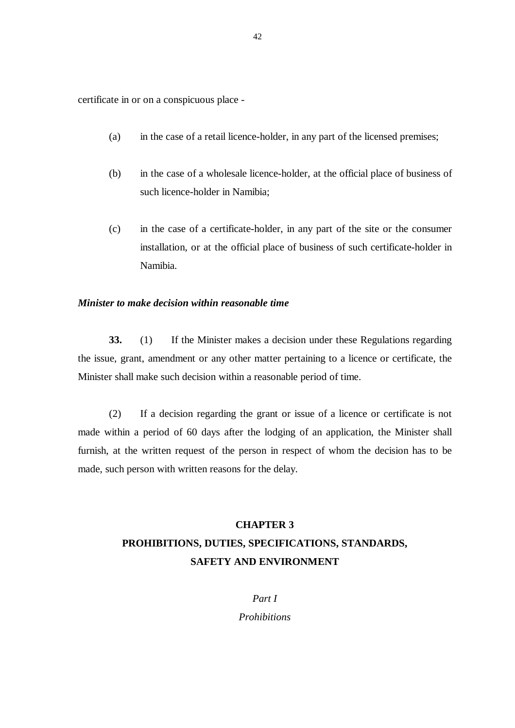certificate in or on a conspicuous place -

- (a) in the case of a retail licence-holder, in any part of the licensed premises;
- (b) in the case of a wholesale licence-holder, at the official place of business of such licence-holder in Namibia;
- (c) in the case of a certificate-holder, in any part of the site or the consumer installation, or at the official place of business of such certificate-holder in Namibia.

#### *Minister to make decision within reasonable time*

**33.** (1) If the Minister makes a decision under these Regulations regarding the issue, grant, amendment or any other matter pertaining to a licence or certificate, the Minister shall make such decision within a reasonable period of time.

 (2) If a decision regarding the grant or issue of a licence or certificate is not made within a period of 60 days after the lodging of an application, the Minister shall furnish, at the written request of the person in respect of whom the decision has to be made, such person with written reasons for the delay.

# **CHAPTER 3 PROHIBITIONS, DUTIES, SPECIFICATIONS, STANDARDS, SAFETY AND ENVIRONMENT**

*Part I* 

*Prohibitions*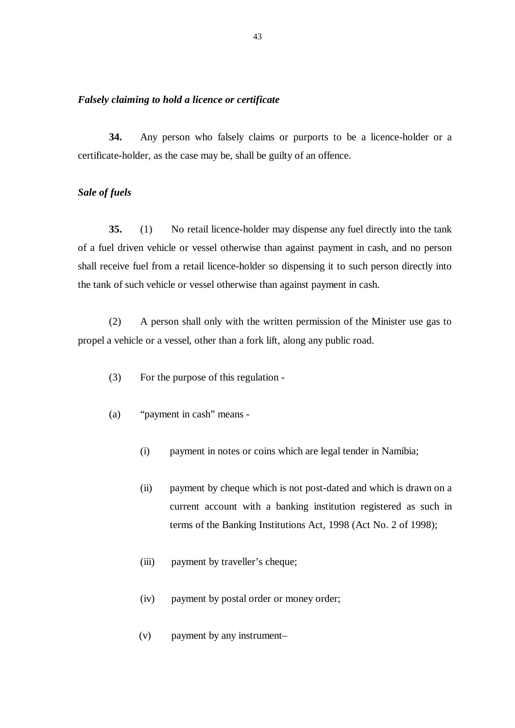#### *Falsely claiming to hold a licence or certificate*

**34.** Any person who falsely claims or purports to be a licence-holder or a certificate-holder, as the case may be, shall be guilty of an offence.

#### *Sale of fuels*

**35.** (1) No retail licence-holder may dispense any fuel directly into the tank of a fuel driven vehicle or vessel otherwise than against payment in cash, and no person shall receive fuel from a retail licence-holder so dispensing it to such person directly into the tank of such vehicle or vessel otherwise than against payment in cash.

 (2) A person shall only with the written permission of the Minister use gas to propel a vehicle or a vessel, other than a fork lift, along any public road.

- (3) For the purpose of this regulation -
- (a) "payment in cash" means
	- (i) payment in notes or coins which are legal tender in Namibia;
	- (ii) payment by cheque which is not post-dated and which is drawn on a current account with a banking institution registered as such in terms of the Banking Institutions Act, 1998 (Act No. 2 of 1998);
	- (iii) payment by traveller's cheque;
	- (iv) payment by postal order or money order;
	- (v) payment by any instrument–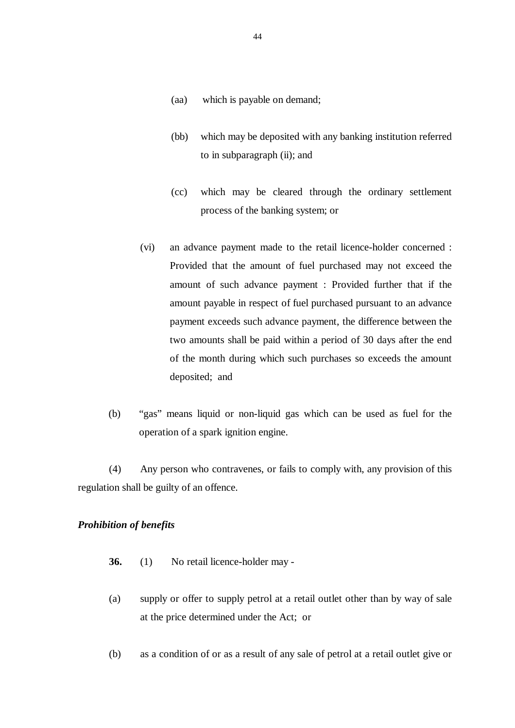- (aa) which is payable on demand;
- (bb) which may be deposited with any banking institution referred to in subparagraph (ii); and
- (cc) which may be cleared through the ordinary settlement process of the banking system; or
- (vi) an advance payment made to the retail licence-holder concerned : Provided that the amount of fuel purchased may not exceed the amount of such advance payment : Provided further that if the amount payable in respect of fuel purchased pursuant to an advance payment exceeds such advance payment, the difference between the two amounts shall be paid within a period of 30 days after the end of the month during which such purchases so exceeds the amount deposited; and
- (b) "gas" means liquid or non-liquid gas which can be used as fuel for the operation of a spark ignition engine.

 (4) Any person who contravenes, or fails to comply with, any provision of this regulation shall be guilty of an offence.

# *Prohibition of benefits*

- **36.** (1) No retail licence-holder may -
- (a) supply or offer to supply petrol at a retail outlet other than by way of sale at the price determined under the Act; or
- (b) as a condition of or as a result of any sale of petrol at a retail outlet give or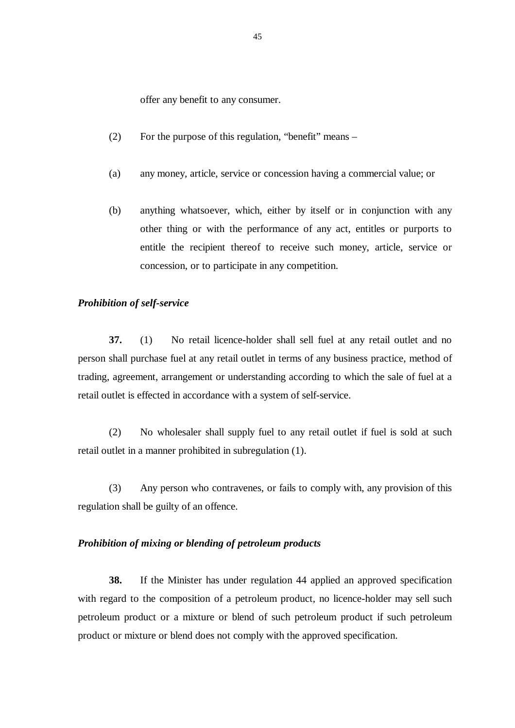offer any benefit to any consumer.

- (2) For the purpose of this regulation, "benefit" means –
- (a) any money, article, service or concession having a commercial value; or
- (b) anything whatsoever, which, either by itself or in conjunction with any other thing or with the performance of any act, entitles or purports to entitle the recipient thereof to receive such money, article, service or concession, or to participate in any competition.

#### *Prohibition of self-service*

**37.** (1) No retail licence-holder shall sell fuel at any retail outlet and no person shall purchase fuel at any retail outlet in terms of any business practice, method of trading, agreement, arrangement or understanding according to which the sale of fuel at a retail outlet is effected in accordance with a system of self-service.

 (2) No wholesaler shall supply fuel to any retail outlet if fuel is sold at such retail outlet in a manner prohibited in subregulation (1).

 (3) Any person who contravenes, or fails to comply with, any provision of this regulation shall be guilty of an offence.

#### *Prohibition of mixing or blending of petroleum products*

**38.** If the Minister has under regulation 44 applied an approved specification with regard to the composition of a petroleum product, no licence-holder may sell such petroleum product or a mixture or blend of such petroleum product if such petroleum product or mixture or blend does not comply with the approved specification.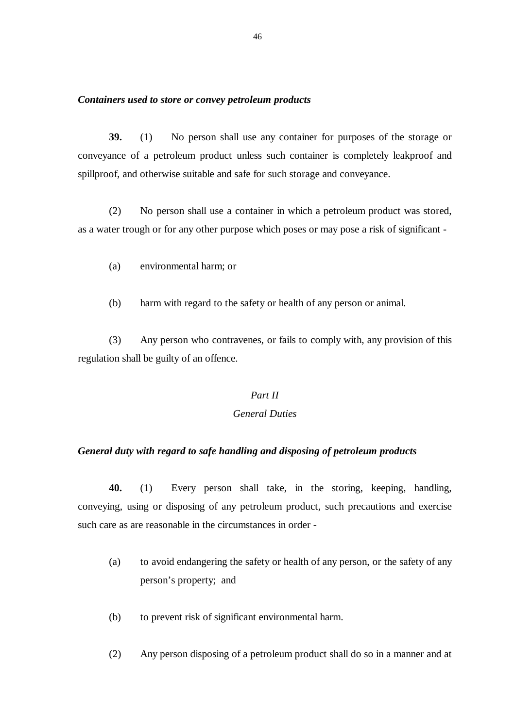#### *Containers used to store or convey petroleum products*

**39.** (1) No person shall use any container for purposes of the storage or conveyance of a petroleum product unless such container is completely leakproof and spillproof, and otherwise suitable and safe for such storage and conveyance.

 (2) No person shall use a container in which a petroleum product was stored, as a water trough or for any other purpose which poses or may pose a risk of significant -

- (a) environmental harm; or
- (b) harm with regard to the safety or health of any person or animal.

 (3) Any person who contravenes, or fails to comply with, any provision of this regulation shall be guilty of an offence.

#### *Part II*

# *General Duties*

#### *General duty with regard to safe handling and disposing of petroleum products*

**40.** (1) Every person shall take, in the storing, keeping, handling, conveying, using or disposing of any petroleum product, such precautions and exercise such care as are reasonable in the circumstances in order -

- (a) to avoid endangering the safety or health of any person, or the safety of any person's property; and
- (b) to prevent risk of significant environmental harm.
- (2) Any person disposing of a petroleum product shall do so in a manner and at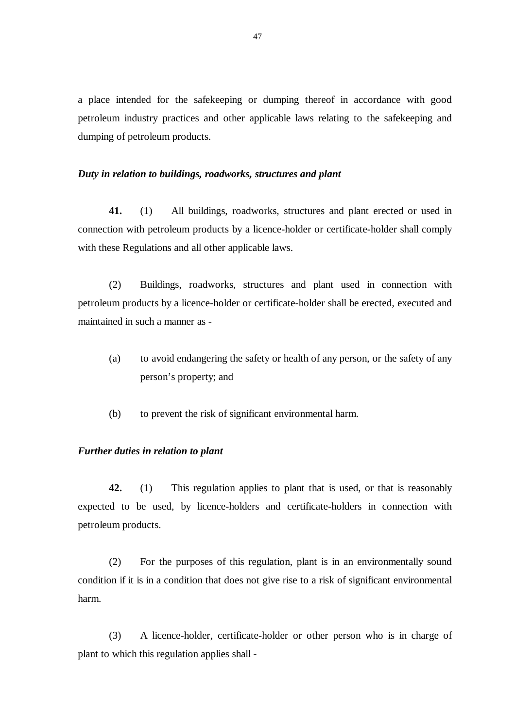a place intended for the safekeeping or dumping thereof in accordance with good petroleum industry practices and other applicable laws relating to the safekeeping and dumping of petroleum products.

#### *Duty in relation to buildings, roadworks, structures and plant*

**41.** (1) All buildings, roadworks, structures and plant erected or used in connection with petroleum products by a licence-holder or certificate-holder shall comply with these Regulations and all other applicable laws.

 (2) Buildings, roadworks, structures and plant used in connection with petroleum products by a licence-holder or certificate-holder shall be erected, executed and maintained in such a manner as -

- (a) to avoid endangering the safety or health of any person, or the safety of any person's property; and
- (b) to prevent the risk of significant environmental harm.

#### *Further duties in relation to plant*

**42.** (1) This regulation applies to plant that is used, or that is reasonably expected to be used, by licence-holders and certificate-holders in connection with petroleum products.

 (2) For the purposes of this regulation, plant is in an environmentally sound condition if it is in a condition that does not give rise to a risk of significant environmental harm.

 (3) A licence-holder, certificate-holder or other person who is in charge of plant to which this regulation applies shall -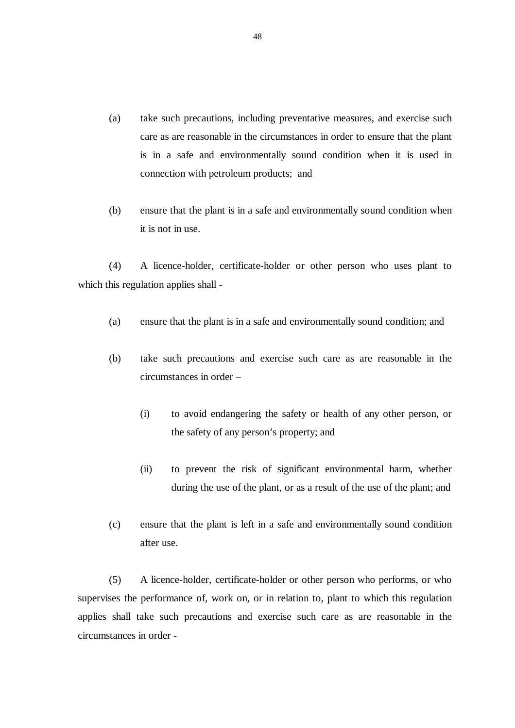- (a) take such precautions, including preventative measures, and exercise such care as are reasonable in the circumstances in order to ensure that the plant is in a safe and environmentally sound condition when it is used in connection with petroleum products; and
- (b) ensure that the plant is in a safe and environmentally sound condition when it is not in use.

(4) A licence-holder, certificate-holder or other person who uses plant to which this regulation applies shall -

- (a) ensure that the plant is in a safe and environmentally sound condition; and
- (b) take such precautions and exercise such care as are reasonable in the circumstances in order –
	- (i) to avoid endangering the safety or health of any other person, or the safety of any person's property; and
	- (ii) to prevent the risk of significant environmental harm, whether during the use of the plant, or as a result of the use of the plant; and
- (c) ensure that the plant is left in a safe and environmentally sound condition after use.

(5) A licence-holder, certificate-holder or other person who performs, or who supervises the performance of, work on, or in relation to, plant to which this regulation applies shall take such precautions and exercise such care as are reasonable in the circumstances in order -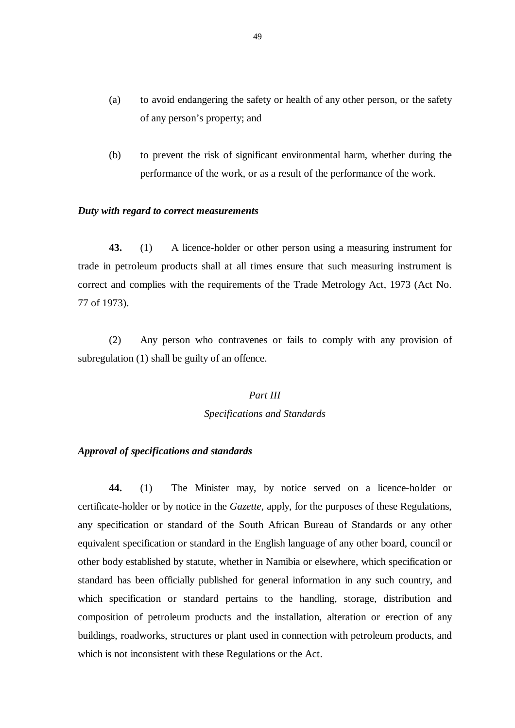- (a) to avoid endangering the safety or health of any other person, or the safety of any person's property; and
- (b) to prevent the risk of significant environmental harm, whether during the performance of the work, or as a result of the performance of the work.

#### *Duty with regard to correct measurements*

**43.** (1) A licence-holder or other person using a measuring instrument for trade in petroleum products shall at all times ensure that such measuring instrument is correct and complies with the requirements of the Trade Metrology Act, 1973 (Act No. 77 of 1973).

 (2) Any person who contravenes or fails to comply with any provision of subregulation (1) shall be guilty of an offence.

# *Part III*

#### *Specifications and Standards*

#### *Approval of specifications and standards*

**44.** (1) The Minister may, by notice served on a licence-holder or certificate-holder or by notice in the *Gazette,* apply, for the purposes of these Regulations, any specification or standard of the South African Bureau of Standards or any other equivalent specification or standard in the English language of any other board, council or other body established by statute, whether in Namibia or elsewhere, which specification or standard has been officially published for general information in any such country, and which specification or standard pertains to the handling, storage, distribution and composition of petroleum products and the installation, alteration or erection of any buildings, roadworks, structures or plant used in connection with petroleum products, and which is not inconsistent with these Regulations or the Act.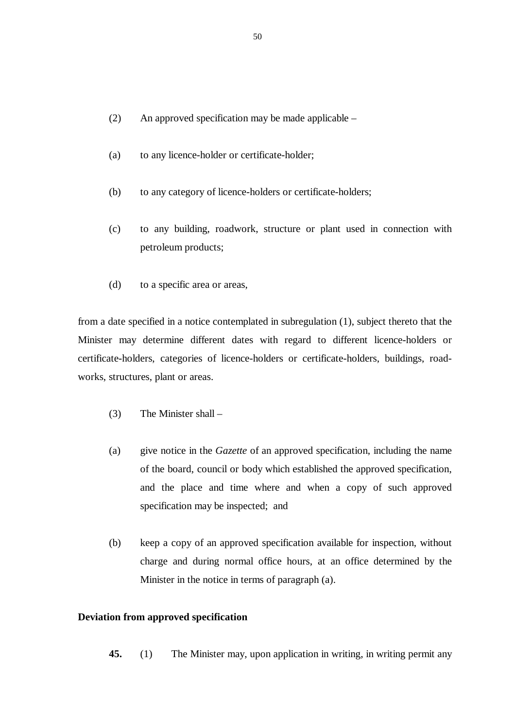- (2) An approved specification may be made applicable –
- (a) to any licence-holder or certificate-holder;
- (b) to any category of licence-holders or certificate-holders;
- (c) to any building, roadwork, structure or plant used in connection with petroleum products;
- (d) to a specific area or areas,

from a date specified in a notice contemplated in subregulation (1), subject thereto that the Minister may determine different dates with regard to different licence-holders or certificate-holders, categories of licence-holders or certificate-holders, buildings, roadworks, structures, plant or areas.

- (3) The Minister shall –
- (a) give notice in the *Gazette* of an approved specification, including the name of the board, council or body which established the approved specification, and the place and time where and when a copy of such approved specification may be inspected; and
- (b) keep a copy of an approved specification available for inspection, without charge and during normal office hours, at an office determined by the Minister in the notice in terms of paragraph (a).

## **Deviation from approved specification**

**45.** (1) The Minister may, upon application in writing, in writing permit any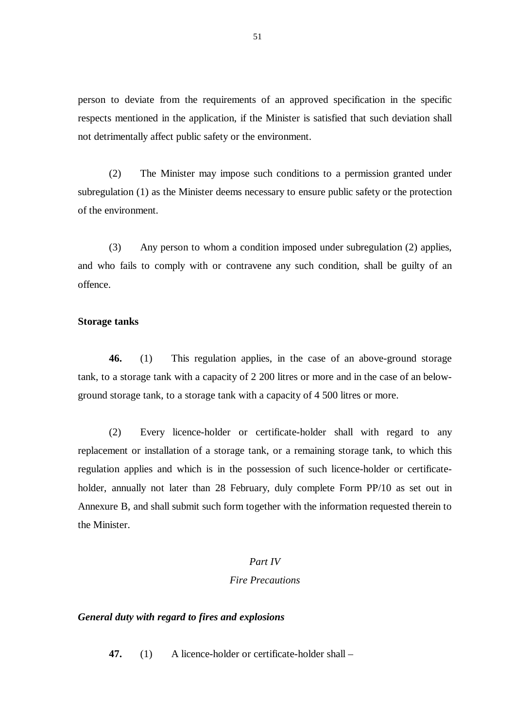person to deviate from the requirements of an approved specification in the specific respects mentioned in the application, if the Minister is satisfied that such deviation shall not detrimentally affect public safety or the environment.

 (2) The Minister may impose such conditions to a permission granted under subregulation (1) as the Minister deems necessary to ensure public safety or the protection of the environment.

 (3) Any person to whom a condition imposed under subregulation (2) applies, and who fails to comply with or contravene any such condition, shall be guilty of an offence.

#### **Storage tanks**

**46.** (1) This regulation applies, in the case of an above-ground storage tank, to a storage tank with a capacity of 2 200 litres or more and in the case of an belowground storage tank, to a storage tank with a capacity of 4 500 litres or more.

(2) Every licence-holder or certificate-holder shall with regard to any replacement or installation of a storage tank, or a remaining storage tank, to which this regulation applies and which is in the possession of such licence-holder or certificateholder, annually not later than 28 February, duly complete Form PP/10 as set out in Annexure B, and shall submit such form together with the information requested therein to the Minister.

# *Part IV*

#### *Fire Precautions*

#### *General duty with regard to fires and explosions*

**47.** (1) A licence-holder or certificate-holder shall –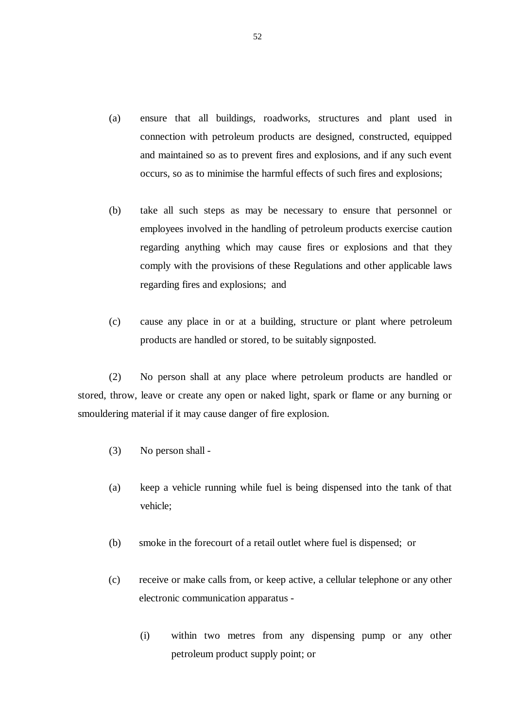- (a) ensure that all buildings, roadworks, structures and plant used in connection with petroleum products are designed, constructed, equipped and maintained so as to prevent fires and explosions, and if any such event occurs, so as to minimise the harmful effects of such fires and explosions;
- (b) take all such steps as may be necessary to ensure that personnel or employees involved in the handling of petroleum products exercise caution regarding anything which may cause fires or explosions and that they comply with the provisions of these Regulations and other applicable laws regarding fires and explosions; and
- (c) cause any place in or at a building, structure or plant where petroleum products are handled or stored, to be suitably signposted.

(2) No person shall at any place where petroleum products are handled or stored, throw, leave or create any open or naked light, spark or flame or any burning or smouldering material if it may cause danger of fire explosion.

- (3) No person shall -
- (a) keep a vehicle running while fuel is being dispensed into the tank of that vehicle;
- (b) smoke in the forecourt of a retail outlet where fuel is dispensed; or
- (c) receive or make calls from, or keep active, a cellular telephone or any other electronic communication apparatus -
	- (i) within two metres from any dispensing pump or any other petroleum product supply point; or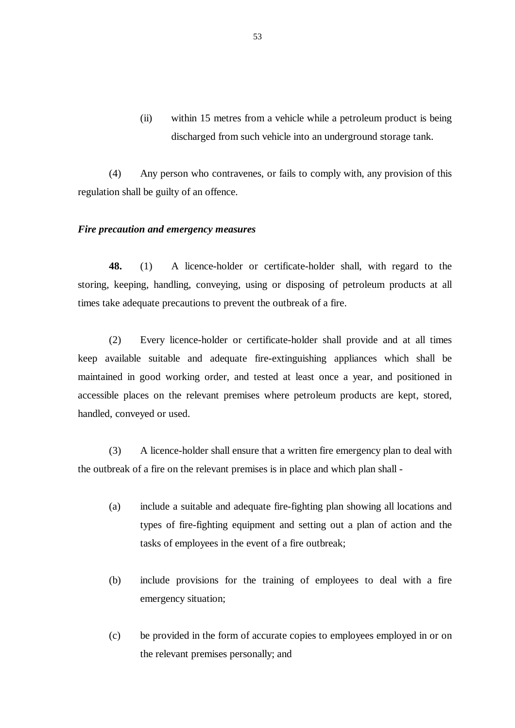(ii) within 15 metres from a vehicle while a petroleum product is being discharged from such vehicle into an underground storage tank.

 (4) Any person who contravenes, or fails to comply with, any provision of this regulation shall be guilty of an offence.

#### *Fire precaution and emergency measures*

**48.** (1) A licence-holder or certificate-holder shall, with regard to the storing, keeping, handling, conveying, using or disposing of petroleum products at all times take adequate precautions to prevent the outbreak of a fire.

 (2) Every licence-holder or certificate-holder shall provide and at all times keep available suitable and adequate fire-extinguishing appliances which shall be maintained in good working order, and tested at least once a year, and positioned in accessible places on the relevant premises where petroleum products are kept, stored, handled, conveyed or used.

 (3) A licence-holder shall ensure that a written fire emergency plan to deal with the outbreak of a fire on the relevant premises is in place and which plan shall -

- (a) include a suitable and adequate fire-fighting plan showing all locations and types of fire-fighting equipment and setting out a plan of action and the tasks of employees in the event of a fire outbreak;
- (b) include provisions for the training of employees to deal with a fire emergency situation;
- (c) be provided in the form of accurate copies to employees employed in or on the relevant premises personally; and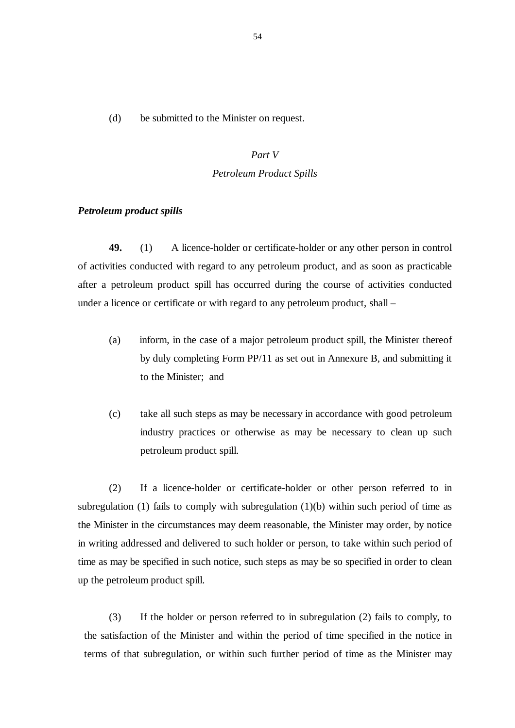(d) be submitted to the Minister on request.

# *Part V Petroleum Product Spills*

#### *Petroleum product spills*

**49.** (1) A licence-holder or certificate-holder or any other person in control of activities conducted with regard to any petroleum product, and as soon as practicable after a petroleum product spill has occurred during the course of activities conducted under a licence or certificate or with regard to any petroleum product, shall –

- (a) inform, in the case of a major petroleum product spill, the Minister thereof by duly completing Form PP/11 as set out in Annexure B, and submitting it to the Minister; and
- (c) take all such steps as may be necessary in accordance with good petroleum industry practices or otherwise as may be necessary to clean up such petroleum product spill.

(2) If a licence-holder or certificate-holder or other person referred to in subregulation (1) fails to comply with subregulation (1)(b) within such period of time as the Minister in the circumstances may deem reasonable, the Minister may order, by notice in writing addressed and delivered to such holder or person, to take within such period of time as may be specified in such notice, such steps as may be so specified in order to clean up the petroleum product spill.

(3) If the holder or person referred to in subregulation (2) fails to comply, to the satisfaction of the Minister and within the period of time specified in the notice in terms of that subregulation, or within such further period of time as the Minister may

54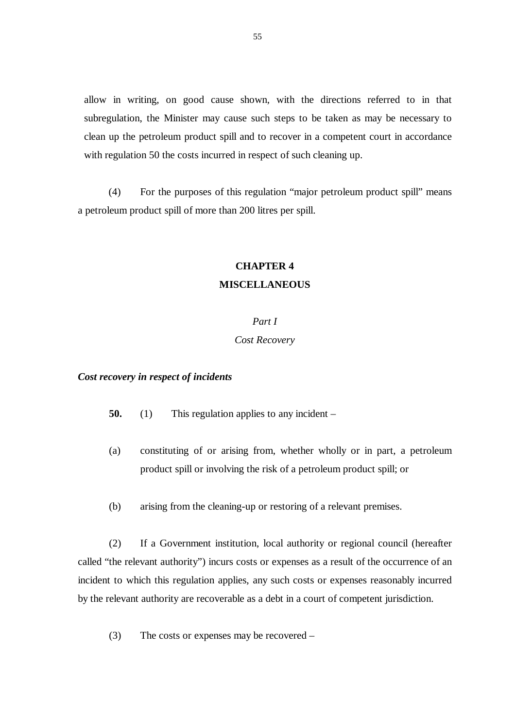allow in writing, on good cause shown, with the directions referred to in that subregulation, the Minister may cause such steps to be taken as may be necessary to clean up the petroleum product spill and to recover in a competent court in accordance with regulation 50 the costs incurred in respect of such cleaning up.

(4) For the purposes of this regulation "major petroleum product spill" means a petroleum product spill of more than 200 litres per spill.

# **CHAPTER 4 MISCELLANEOUS**

#### *Part I*

#### *Cost Recovery*

#### *Cost recovery in respect of incidents*

- **50.** (1) This regulation applies to any incident –
- (a) constituting of or arising from, whether wholly or in part, a petroleum product spill or involving the risk of a petroleum product spill; or
- (b) arising from the cleaning-up or restoring of a relevant premises.

(2) If a Government institution, local authority or regional council (hereafter called "the relevant authority") incurs costs or expenses as a result of the occurrence of an incident to which this regulation applies, any such costs or expenses reasonably incurred by the relevant authority are recoverable as a debt in a court of competent jurisdiction.

(3) The costs or expenses may be recovered –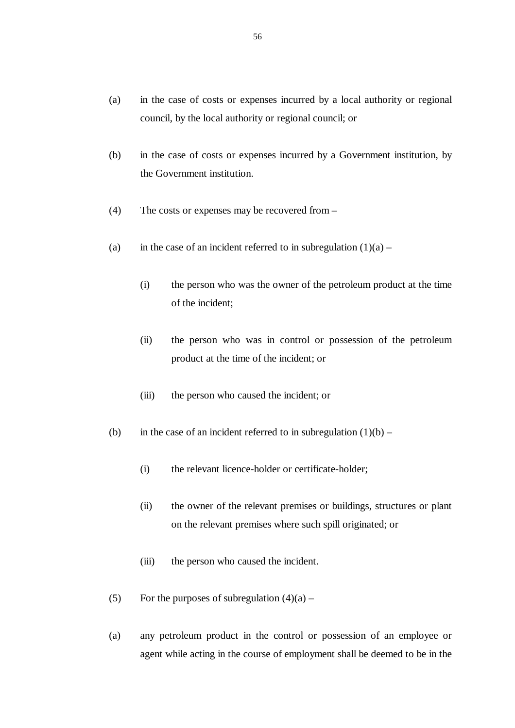- (a) in the case of costs or expenses incurred by a local authority or regional council, by the local authority or regional council; or
- (b) in the case of costs or expenses incurred by a Government institution, by the Government institution.
- (4) The costs or expenses may be recovered from –
- (a) in the case of an incident referred to in subregulation  $(1)(a)$ 
	- (i) the person who was the owner of the petroleum product at the time of the incident;
	- (ii) the person who was in control or possession of the petroleum product at the time of the incident; or
	- (iii) the person who caused the incident; or
- (b) in the case of an incident referred to in subregulation  $(1)(b)$ 
	- (i) the relevant licence-holder or certificate-holder;
	- (ii) the owner of the relevant premises or buildings, structures or plant on the relevant premises where such spill originated; or
	- (iii) the person who caused the incident.
- (5) For the purposes of subregulation  $(4)(a)$  –
- (a) any petroleum product in the control or possession of an employee or agent while acting in the course of employment shall be deemed to be in the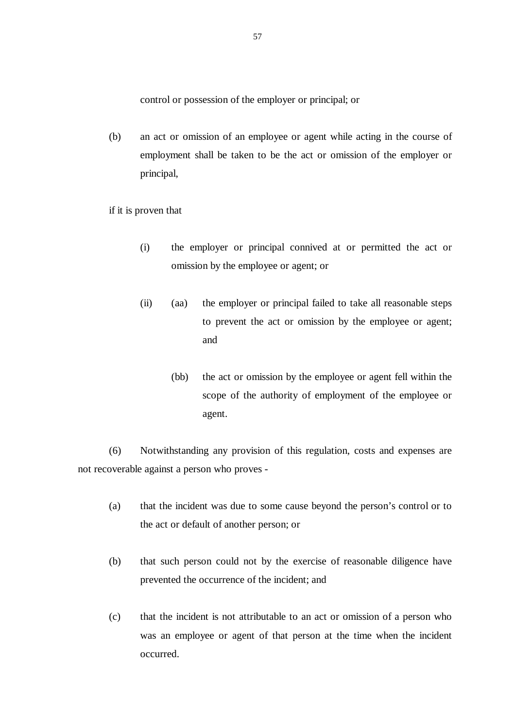control or possession of the employer or principal; or

- (b) an act or omission of an employee or agent while acting in the course of employment shall be taken to be the act or omission of the employer or principal,
- if it is proven that
	- (i) the employer or principal connived at or permitted the act or omission by the employee or agent; or
	- (ii) (aa) the employer or principal failed to take all reasonable steps to prevent the act or omission by the employee or agent; and
		- (bb) the act or omission by the employee or agent fell within the scope of the authority of employment of the employee or agent.

 (6) Notwithstanding any provision of this regulation, costs and expenses are not recoverable against a person who proves -

- (a) that the incident was due to some cause beyond the person's control or to the act or default of another person; or
- (b) that such person could not by the exercise of reasonable diligence have prevented the occurrence of the incident; and
- (c) that the incident is not attributable to an act or omission of a person who was an employee or agent of that person at the time when the incident occurred.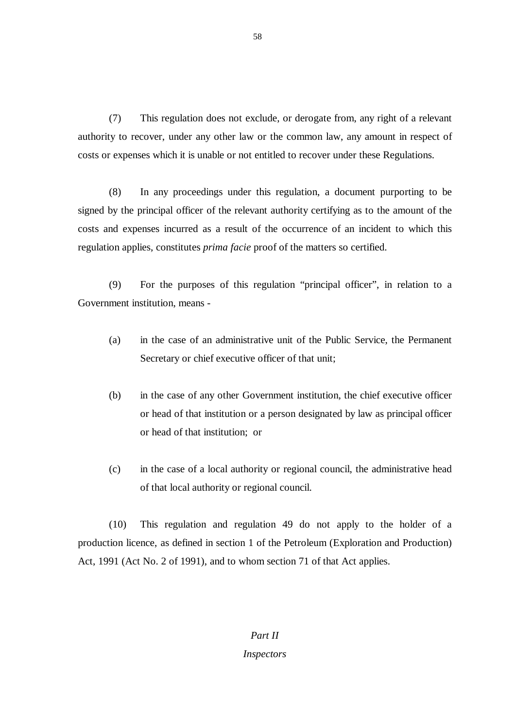(7) This regulation does not exclude, or derogate from, any right of a relevant authority to recover, under any other law or the common law, any amount in respect of costs or expenses which it is unable or not entitled to recover under these Regulations.

 (8) In any proceedings under this regulation, a document purporting to be signed by the principal officer of the relevant authority certifying as to the amount of the costs and expenses incurred as a result of the occurrence of an incident to which this regulation applies, constitutes *prima facie* proof of the matters so certified.

 (9) For the purposes of this regulation "principal officer", in relation to a Government institution, means -

- (a) in the case of an administrative unit of the Public Service, the Permanent Secretary or chief executive officer of that unit;
- (b) in the case of any other Government institution, the chief executive officer or head of that institution or a person designated by law as principal officer or head of that institution; or
- (c) in the case of a local authority or regional council, the administrative head of that local authority or regional council.

 (10) This regulation and regulation 49 do not apply to the holder of a production licence, as defined in section 1 of the Petroleum (Exploration and Production) Act, 1991 (Act No. 2 of 1991), and to whom section 71 of that Act applies.

# *Part II Inspectors*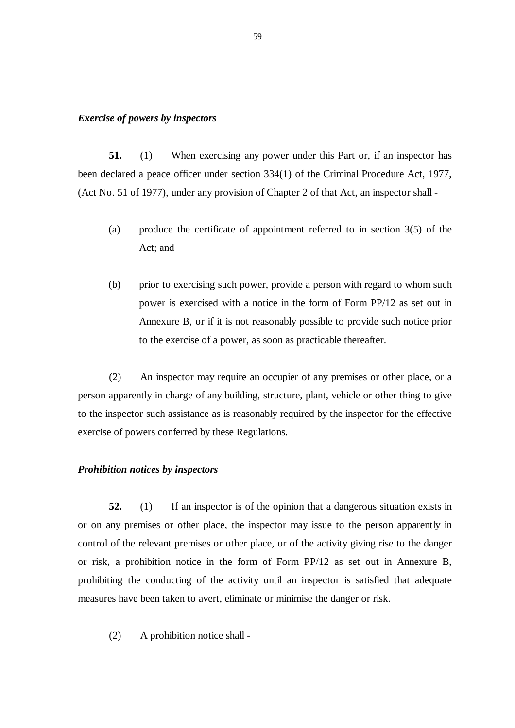#### *Exercise of powers by inspectors*

**51.** (1) When exercising any power under this Part or, if an inspector has been declared a peace officer under section 334(1) of the Criminal Procedure Act, 1977, (Act No. 51 of 1977), under any provision of Chapter 2 of that Act, an inspector shall -

- (a) produce the certificate of appointment referred to in section 3(5) of the Act; and
- (b) prior to exercising such power, provide a person with regard to whom such power is exercised with a notice in the form of Form PP/12 as set out in Annexure B, or if it is not reasonably possible to provide such notice prior to the exercise of a power, as soon as practicable thereafter.

 (2) An inspector may require an occupier of any premises or other place, or a person apparently in charge of any building, structure, plant, vehicle or other thing to give to the inspector such assistance as is reasonably required by the inspector for the effective exercise of powers conferred by these Regulations.

#### *Prohibition notices by inspectors*

**52.** (1) If an inspector is of the opinion that a dangerous situation exists in or on any premises or other place, the inspector may issue to the person apparently in control of the relevant premises or other place, or of the activity giving rise to the danger or risk, a prohibition notice in the form of Form PP/12 as set out in Annexure B, prohibiting the conducting of the activity until an inspector is satisfied that adequate measures have been taken to avert, eliminate or minimise the danger or risk.

(2) A prohibition notice shall -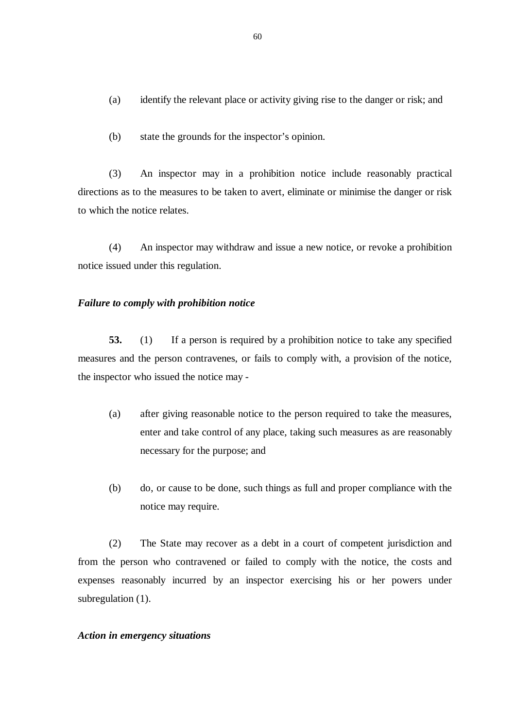- (a) identify the relevant place or activity giving rise to the danger or risk; and
- (b) state the grounds for the inspector's opinion.

(3) An inspector may in a prohibition notice include reasonably practical directions as to the measures to be taken to avert, eliminate or minimise the danger or risk to which the notice relates.

 (4) An inspector may withdraw and issue a new notice, or revoke a prohibition notice issued under this regulation.

#### *Failure to comply with prohibition notice*

**53.** (1) If a person is required by a prohibition notice to take any specified measures and the person contravenes, or fails to comply with, a provision of the notice, the inspector who issued the notice may -

- (a) after giving reasonable notice to the person required to take the measures, enter and take control of any place, taking such measures as are reasonably necessary for the purpose; and
- (b) do, or cause to be done, such things as full and proper compliance with the notice may require.

(2) The State may recover as a debt in a court of competent jurisdiction and from the person who contravened or failed to comply with the notice, the costs and expenses reasonably incurred by an inspector exercising his or her powers under subregulation (1).

#### *Action in emergency situations*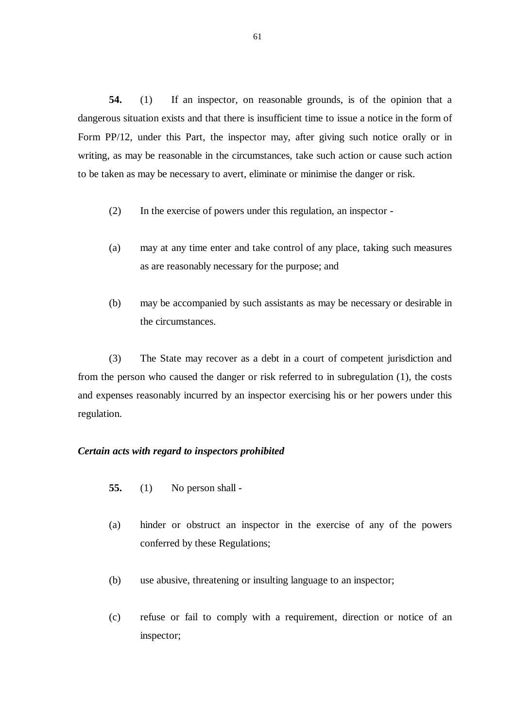**54.** (1) If an inspector, on reasonable grounds, is of the opinion that a dangerous situation exists and that there is insufficient time to issue a notice in the form of Form PP/12, under this Part, the inspector may, after giving such notice orally or in writing, as may be reasonable in the circumstances, take such action or cause such action to be taken as may be necessary to avert, eliminate or minimise the danger or risk.

- (2) In the exercise of powers under this regulation, an inspector -
- (a) may at any time enter and take control of any place, taking such measures as are reasonably necessary for the purpose; and
- (b) may be accompanied by such assistants as may be necessary or desirable in the circumstances.

(3) The State may recover as a debt in a court of competent jurisdiction and from the person who caused the danger or risk referred to in subregulation (1), the costs and expenses reasonably incurred by an inspector exercising his or her powers under this regulation.

#### *Certain acts with regard to inspectors prohibited*

- **55.** (1) No person shall -
- (a) hinder or obstruct an inspector in the exercise of any of the powers conferred by these Regulations;
- (b) use abusive, threatening or insulting language to an inspector;
- (c) refuse or fail to comply with a requirement, direction or notice of an inspector;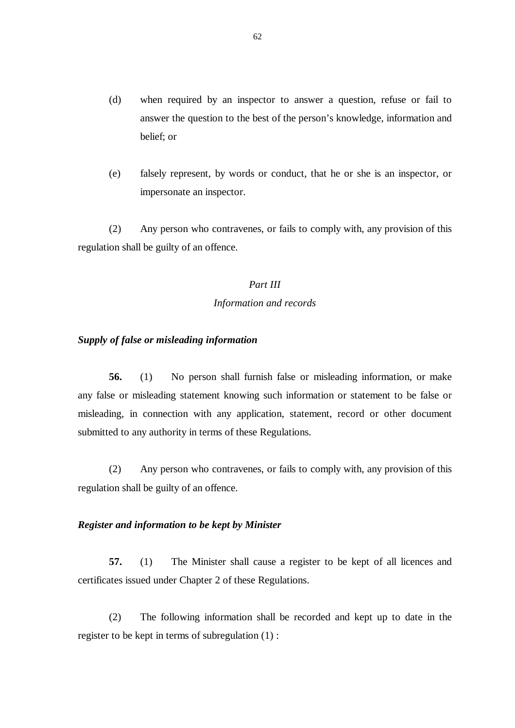- (d) when required by an inspector to answer a question, refuse or fail to answer the question to the best of the person's knowledge, information and belief; or
- (e) falsely represent, by words or conduct, that he or she is an inspector, or impersonate an inspector.

 (2) Any person who contravenes, or fails to comply with, any provision of this regulation shall be guilty of an offence.

# *Part III*

# *Information and records*

### *Supply of false or misleading information*

**56.** (1) No person shall furnish false or misleading information, or make any false or misleading statement knowing such information or statement to be false or misleading, in connection with any application, statement, record or other document submitted to any authority in terms of these Regulations.

 (2) Any person who contravenes, or fails to comply with, any provision of this regulation shall be guilty of an offence.

## *Register and information to be kept by Minister*

**57.** (1) The Minister shall cause a register to be kept of all licences and certificates issued under Chapter 2 of these Regulations.

(2) The following information shall be recorded and kept up to date in the register to be kept in terms of subregulation (1) :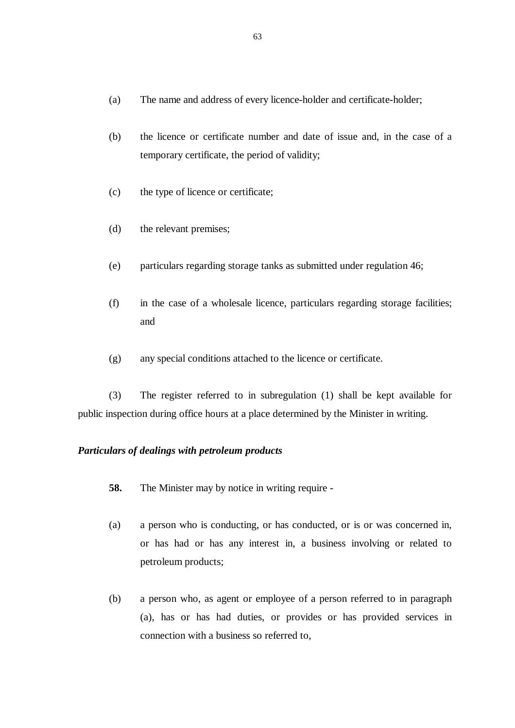- (a) The name and address of every licence-holder and certificate-holder;
- (b) the licence or certificate number and date of issue and, in the case of a temporary certificate, the period of validity;
- (c) the type of licence or certificate;
- (d) the relevant premises;
- (e) particulars regarding storage tanks as submitted under regulation 46;
- (f) in the case of a wholesale licence, particulars regarding storage facilities; and
- (g) any special conditions attached to the licence or certificate.

 (3) The register referred to in subregulation (1) shall be kept available for public inspection during office hours at a place determined by the Minister in writing.

## *Particulars of dealings with petroleum products*

- **58.** The Minister may by notice in writing require -
- (a) a person who is conducting, or has conducted, or is or was concerned in, or has had or has any interest in, a business involving or related to petroleum products;
- (b) a person who, as agent or employee of a person referred to in paragraph (a), has or has had duties, or provides or has provided services in connection with a business so referred to,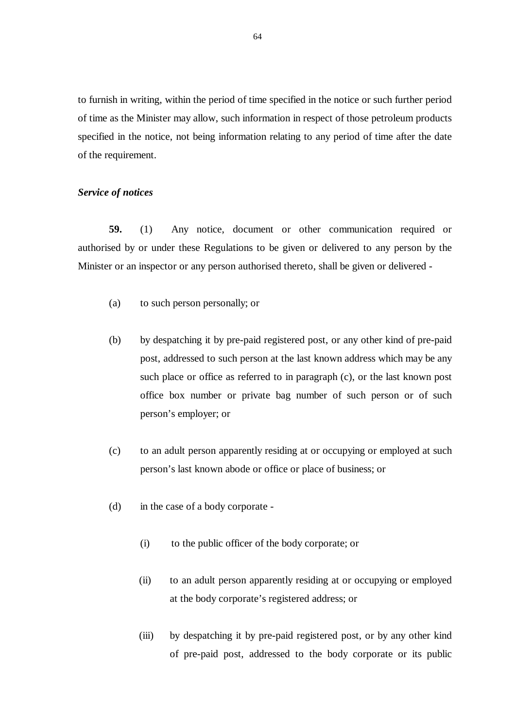to furnish in writing, within the period of time specified in the notice or such further period of time as the Minister may allow, such information in respect of those petroleum products specified in the notice, not being information relating to any period of time after the date of the requirement.

#### *Service of notices*

**59.** (1) Any notice, document or other communication required or authorised by or under these Regulations to be given or delivered to any person by the Minister or an inspector or any person authorised thereto, shall be given or delivered -

- (a) to such person personally; or
- (b) by despatching it by pre-paid registered post, or any other kind of pre-paid post, addressed to such person at the last known address which may be any such place or office as referred to in paragraph (c), or the last known post office box number or private bag number of such person or of such person's employer; or
- (c) to an adult person apparently residing at or occupying or employed at such person's last known abode or office or place of business; or
- (d) in the case of a body corporate
	- (i) to the public officer of the body corporate; or
	- (ii) to an adult person apparently residing at or occupying or employed at the body corporate's registered address; or
	- (iii) by despatching it by pre-paid registered post, or by any other kind of pre-paid post, addressed to the body corporate or its public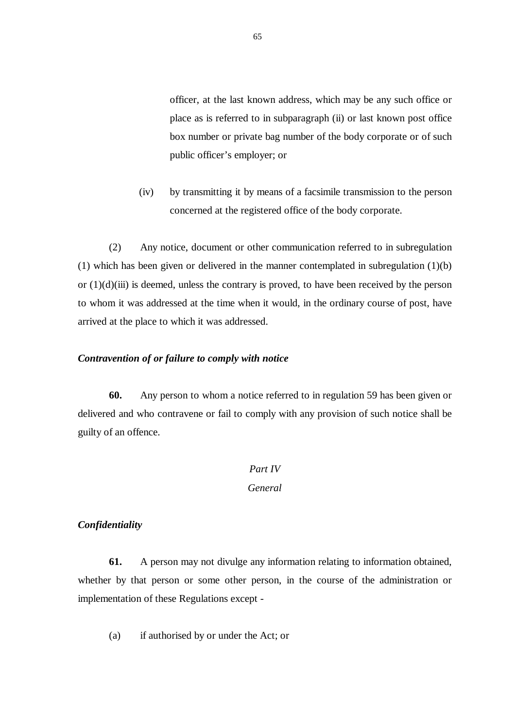officer, at the last known address, which may be any such office or place as is referred to in subparagraph (ii) or last known post office box number or private bag number of the body corporate or of such public officer's employer; or

(iv) by transmitting it by means of a facsimile transmission to the person concerned at the registered office of the body corporate.

 (2) Any notice, document or other communication referred to in subregulation (1) which has been given or delivered in the manner contemplated in subregulation (1)(b) or  $(1)(d)(iii)$  is deemed, unless the contrary is proved, to have been received by the person to whom it was addressed at the time when it would, in the ordinary course of post, have arrived at the place to which it was addressed.

### *Contravention of or failure to comply with notice*

**60.** Any person to whom a notice referred to in regulation 59 has been given or delivered and who contravene or fail to comply with any provision of such notice shall be guilty of an offence.

# *Part IV General*

# *Confidentiality*

**61.** A person may not divulge any information relating to information obtained, whether by that person or some other person, in the course of the administration or implementation of these Regulations except -

(a) if authorised by or under the Act; or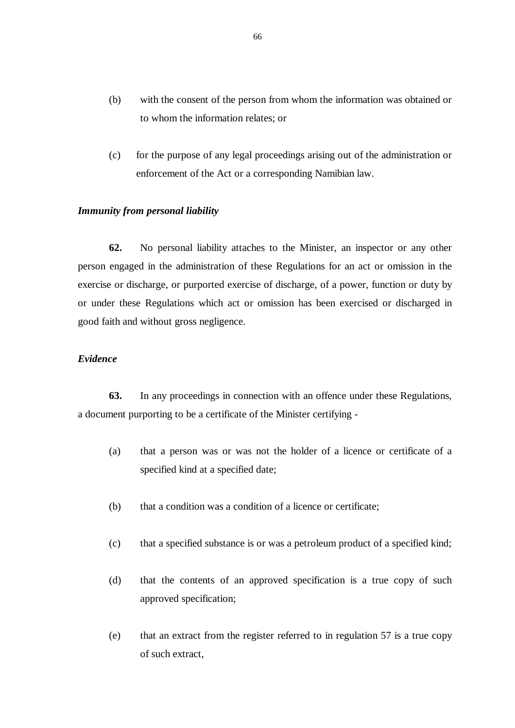- (b) with the consent of the person from whom the information was obtained or to whom the information relates; or
- (c) for the purpose of any legal proceedings arising out of the administration or enforcement of the Act or a corresponding Namibian law.

### *Immunity from personal liability*

**62.** No personal liability attaches to the Minister, an inspector or any other person engaged in the administration of these Regulations for an act or omission in the exercise or discharge, or purported exercise of discharge, of a power, function or duty by or under these Regulations which act or omission has been exercised or discharged in good faith and without gross negligence.

# *Evidence*

**63.** In any proceedings in connection with an offence under these Regulations, a document purporting to be a certificate of the Minister certifying -

- (a) that a person was or was not the holder of a licence or certificate of a specified kind at a specified date;
- (b) that a condition was a condition of a licence or certificate;
- (c) that a specified substance is or was a petroleum product of a specified kind;
- (d) that the contents of an approved specification is a true copy of such approved specification;
- (e) that an extract from the register referred to in regulation 57 is a true copy of such extract,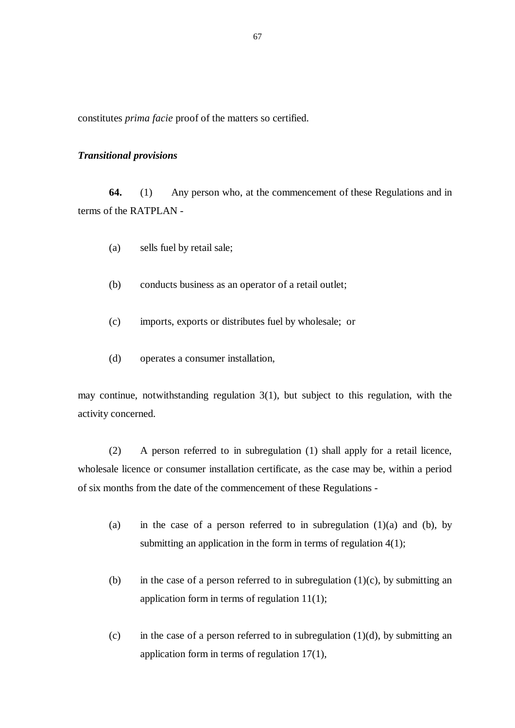constitutes *prima facie* proof of the matters so certified.

#### *Transitional provisions*

**64.** (1) Any person who, at the commencement of these Regulations and in terms of the RATPLAN -

- (a) sells fuel by retail sale;
- (b) conducts business as an operator of a retail outlet;
- (c) imports, exports or distributes fuel by wholesale; or
- (d) operates a consumer installation,

may continue, notwithstanding regulation 3(1), but subject to this regulation, with the activity concerned.

 (2) A person referred to in subregulation (1) shall apply for a retail licence, wholesale licence or consumer installation certificate, as the case may be, within a period of six months from the date of the commencement of these Regulations -

- (a) in the case of a person referred to in subregulation  $(1)(a)$  and  $(b)$ , by submitting an application in the form in terms of regulation  $4(1)$ ;
- (b) in the case of a person referred to in subregulation  $(1)(c)$ , by submitting an application form in terms of regulation 11(1);
- (c) in the case of a person referred to in subregulation  $(1)(d)$ , by submitting an application form in terms of regulation 17(1),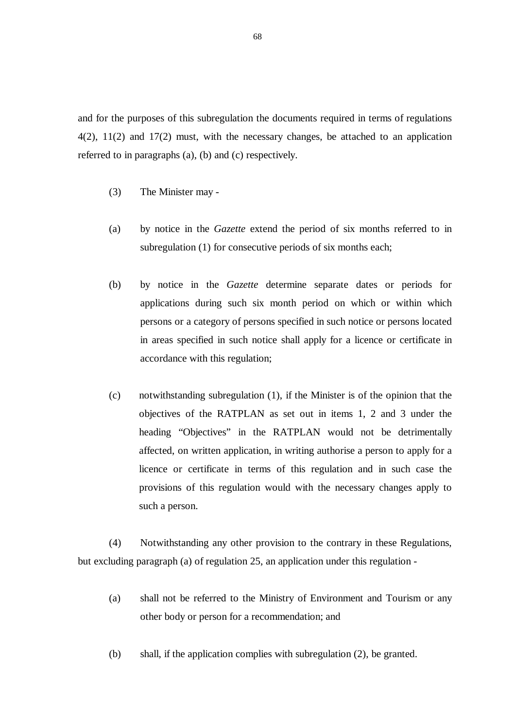and for the purposes of this subregulation the documents required in terms of regulations 4(2), 11(2) and 17(2) must, with the necessary changes, be attached to an application referred to in paragraphs (a), (b) and (c) respectively.

- (3) The Minister may -
- (a) by notice in the *Gazette* extend the period of six months referred to in subregulation (1) for consecutive periods of six months each;
- (b) by notice in the *Gazette* determine separate dates or periods for applications during such six month period on which or within which persons or a category of persons specified in such notice or persons located in areas specified in such notice shall apply for a licence or certificate in accordance with this regulation;
- (c) notwithstanding subregulation (1), if the Minister is of the opinion that the objectives of the RATPLAN as set out in items 1, 2 and 3 under the heading "Objectives" in the RATPLAN would not be detrimentally affected, on written application, in writing authorise a person to apply for a licence or certificate in terms of this regulation and in such case the provisions of this regulation would with the necessary changes apply to such a person.

 (4) Notwithstanding any other provision to the contrary in these Regulations, but excluding paragraph (a) of regulation 25, an application under this regulation -

- (a) shall not be referred to the Ministry of Environment and Tourism or any other body or person for a recommendation; and
- (b) shall, if the application complies with subregulation (2), be granted.